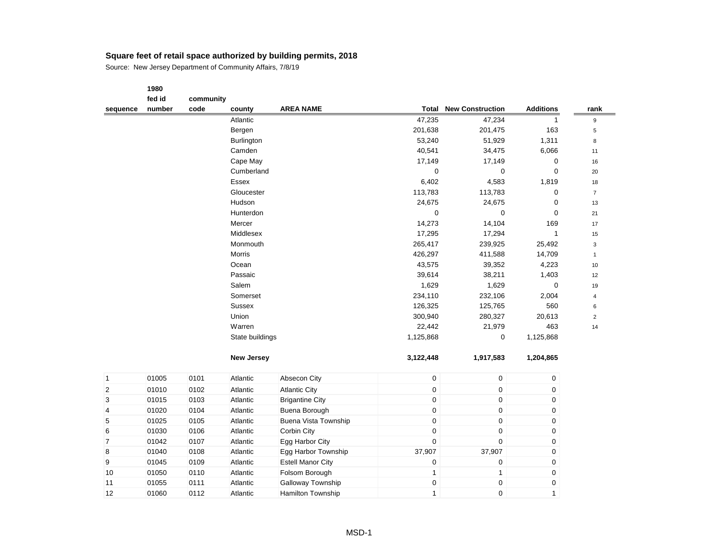|                | 1980   |           |                   |                          |                  |                         |                  |                |
|----------------|--------|-----------|-------------------|--------------------------|------------------|-------------------------|------------------|----------------|
|                | fed id | community |                   |                          |                  |                         |                  |                |
| sequence       | number | code      | county            | <b>AREA NAME</b>         | <b>Total</b>     | <b>New Construction</b> | <b>Additions</b> | rank           |
|                |        |           | Atlantic          |                          | 47,235           | 47,234                  | $\mathbf{1}$     | $\mathsf g$    |
|                |        |           | Bergen            |                          | 201,638          | 201,475                 | 163              | 5              |
|                |        |           | Burlington        |                          | 53,240           | 51,929                  | 1,311            | 8              |
|                |        |           | Camden            |                          | 40,541           | 34,475                  | 6,066            | 11             |
|                |        |           | Cape May          |                          | 17,149           | 17,149                  | $\pmb{0}$        | 16             |
|                |        |           | Cumberland        |                          | $\mathbf 0$      | $\mathbf 0$             | $\mathbf 0$      | 20             |
|                |        |           | Essex             |                          | 6,402            | 4,583                   | 1,819            | 18             |
|                |        |           | Gloucester        |                          | 113,783          | 113,783                 | $\mathbf 0$      | $\overline{7}$ |
|                |        |           | Hudson            |                          | 24,675           | 24,675                  | $\mathbf 0$      | 13             |
|                |        |           | Hunterdon         |                          | $\mathbf 0$      | 0                       | $\mathbf 0$      | 21             |
|                |        |           | Mercer            |                          | 14,273           | 14,104                  | 169              | 17             |
|                |        |           | Middlesex         |                          | 17,295           | 17,294                  | $\mathbf{1}$     | 15             |
|                |        |           | Monmouth          |                          | 265,417          | 239,925                 | 25,492           | 3              |
|                |        |           | Morris            |                          | 426,297          | 411,588                 | 14,709           | $\mathbf{1}$   |
|                |        |           | Ocean             |                          | 43,575           | 39,352                  | 4,223            | 10             |
|                |        |           | Passaic           |                          | 39,614           | 38,211                  | 1,403            | 12             |
|                |        |           | Salem             |                          | 1,629            | 1,629                   | $\mathbf 0$      | 19             |
|                |        |           | Somerset          |                          | 234,110          | 232,106                 | 2,004            | 4              |
|                |        |           | Sussex            |                          | 126,325          | 125,765                 | 560              | 6              |
|                |        |           | Union             |                          | 300,940          | 280,327                 | 20,613           | $\overline{2}$ |
|                |        |           | Warren            |                          | 22,442           | 21,979                  | 463              | 14             |
|                |        |           | State buildings   |                          | 1,125,868        | 0                       | 1,125,868        |                |
|                |        |           | <b>New Jersey</b> |                          | 3,122,448        | 1,917,583               | 1,204,865        |                |
| $\mathbf{1}$   | 01005  | 0101      | Atlantic          | Absecon City             | $\pmb{0}$        | $\pmb{0}$               | 0                |                |
| $\overline{2}$ | 01010  | 0102      | Atlantic          | <b>Atlantic City</b>     | $\pmb{0}$        | $\pmb{0}$               | 0                |                |
| 3              | 01015  | 0103      | Atlantic          | <b>Brigantine City</b>   | $\boldsymbol{0}$ | $\boldsymbol{0}$        | 0                |                |
| $\overline{4}$ | 01020  | 0104      | Atlantic          | Buena Borough            | $\pmb{0}$        | $\pmb{0}$               | 0                |                |
| 5              | 01025  | 0105      | Atlantic          | Buena Vista Township     | 0                | $\boldsymbol{0}$        | 0                |                |
| 6              | 01030  | 0106      | Atlantic          | Corbin City              | 0                | $\boldsymbol{0}$        | 0                |                |
| $\overline{7}$ | 01042  | 0107      | Atlantic          | Egg Harbor City          | 0                | $\boldsymbol{0}$        | 0                |                |
| 8              | 01040  | 0108      | Atlantic          | Egg Harbor Township      | 37,907           | 37,907                  | 0                |                |
| 9              | 01045  | 0109      | Atlantic          | <b>Estell Manor City</b> | 0                | 0                       | 0                |                |
| 10             | 01050  | 0110      | Atlantic          | Folsom Borough           | $\mathbf{1}$     | $\mathbf{1}$            | 0                |                |
| 11             | 01055  | 0111      | Atlantic          | Galloway Township        | $\pmb{0}$        | $\pmb{0}$               | $\mathsf 0$      |                |
| 12             | 01060  | 0112      | Atlantic          | Hamilton Township        | $\mathbf{1}$     | 0                       | $\mathbf{1}$     |                |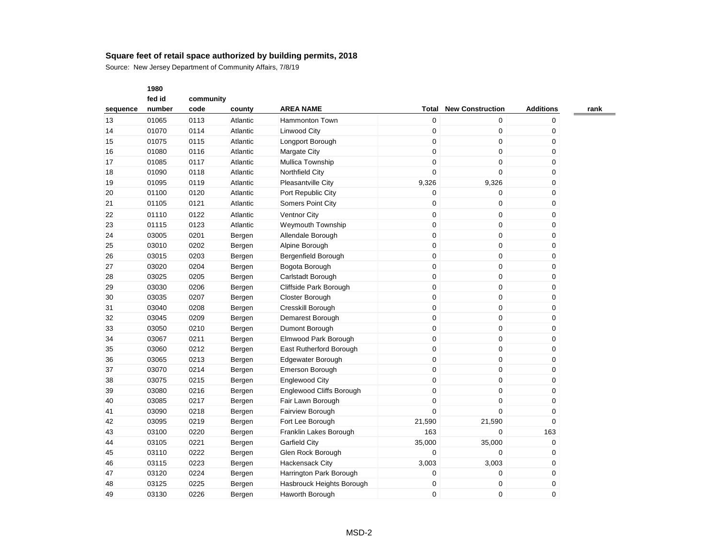Source: New Jersey Department of Community Affairs, 7/8/19

|          | fed id | community |          |                           |             |                         |                  |      |
|----------|--------|-----------|----------|---------------------------|-------------|-------------------------|------------------|------|
| sequence | number | code      | county   | <b>AREA NAME</b>          | Total       | <b>New Construction</b> | <b>Additions</b> | rank |
| 13       | 01065  | 0113      | Atlantic | <b>Hammonton Town</b>     | 0           | 0                       | 0                |      |
| 14       | 01070  | 0114      | Atlantic | <b>Linwood City</b>       | 0           | $\mathbf 0$             | $\mathbf 0$      |      |
| 15       | 01075  | 0115      | Atlantic | Longport Borough          | 0           | $\mathbf 0$             | $\mathbf 0$      |      |
| 16       | 01080  | 0116      | Atlantic | <b>Margate City</b>       | 0           | $\boldsymbol{0}$        | $\mathbf 0$      |      |
| 17       | 01085  | 0117      | Atlantic | Mullica Township          | 0           | $\boldsymbol{0}$        | $\mathbf 0$      |      |
| 18       | 01090  | 0118      | Atlantic | <b>Northfield City</b>    | 0           | 0                       | $\mathbf 0$      |      |
| 19       | 01095  | 0119      | Atlantic | Pleasantville City        | 9,326       | 9,326                   | $\mathbf 0$      |      |
| 20       | 01100  | 0120      | Atlantic | Port Republic City        | 0           | 0                       | $\mathbf 0$      |      |
| 21       | 01105  | 0121      | Atlantic | Somers Point City         | 0           | 0                       | $\mathbf 0$      |      |
| 22       | 01110  | 0122      | Atlantic | <b>Ventnor City</b>       | 0           | 0                       | $\mathbf 0$      |      |
| 23       | 01115  | 0123      | Atlantic | Weymouth Township         | 0           | $\boldsymbol{0}$        | $\mathbf 0$      |      |
| 24       | 03005  | 0201      | Bergen   | Allendale Borough         | 0           | $\boldsymbol{0}$        | $\mathbf 0$      |      |
| 25       | 03010  | 0202      | Bergen   | Alpine Borough            | 0           | $\pmb{0}$               | 0                |      |
| 26       | 03015  | 0203      | Bergen   | Bergenfield Borough       | 0           | 0                       | 0                |      |
| 27       | 03020  | 0204      | Bergen   | Bogota Borough            | 0           | $\mathbf 0$             | $\mathbf 0$      |      |
| 28       | 03025  | 0205      | Bergen   | Carlstadt Borough         | 0           | 0                       | $\mathbf 0$      |      |
| 29       | 03030  | 0206      | Bergen   | Cliffside Park Borough    | 0           | 0                       | $\mathbf 0$      |      |
| 30       | 03035  | 0207      | Bergen   | Closter Borough           | 0           | $\mathbf 0$             | 0                |      |
| 31       | 03040  | 0208      | Bergen   | Cresskill Borough         | 0           | $\boldsymbol{0}$        | $\mathbf 0$      |      |
| 32       | 03045  | 0209      | Bergen   | Demarest Borough          | 0           | $\boldsymbol{0}$        | $\mathbf 0$      |      |
| 33       | 03050  | 0210      | Bergen   | Dumont Borough            | 0           | 0                       | 0                |      |
| 34       | 03067  | 0211      | Bergen   | Elmwood Park Borough      | 0           | 0                       | $\mathbf 0$      |      |
| 35       | 03060  | 0212      | Bergen   | East Rutherford Borough   | 0           | $\boldsymbol{0}$        | $\mathbf 0$      |      |
| 36       | 03065  | 0213      | Bergen   | Edgewater Borough         | 0           | 0                       | 0                |      |
| 37       | 03070  | 0214      | Bergen   | Emerson Borough           | 0           | $\boldsymbol{0}$        | 0                |      |
| 38       | 03075  | 0215      | Bergen   | <b>Englewood City</b>     | 0           | $\mathbf 0$             | 0                |      |
| 39       | 03080  | 0216      | Bergen   | Englewood Cliffs Borough  | 0           | $\mathbf 0$             | $\mathbf 0$      |      |
| 40       | 03085  | 0217      | Bergen   | Fair Lawn Borough         | 0           | 0                       | $\mathbf 0$      |      |
| 41       | 03090  | 0218      | Bergen   | Fairview Borough          | 0           | 0                       | $\mathbf 0$      |      |
| 42       | 03095  | 0219      | Bergen   | Fort Lee Borough          | 21,590      | 21,590                  | $\Omega$         |      |
| 43       | 03100  | 0220      | Bergen   | Franklin Lakes Borough    | 163         | 0                       | 163              |      |
| 44       | 03105  | 0221      | Bergen   | <b>Garfield City</b>      | 35,000      | 35,000                  | $\mathbf 0$      |      |
| 45       | 03110  | 0222      | Bergen   | Glen Rock Borough         | 0           | 0                       | 0                |      |
| 46       | 03115  | 0223      | Bergen   | <b>Hackensack City</b>    | 3,003       | 3,003                   | $\mathbf 0$      |      |
| 47       | 03120  | 0224      | Bergen   | Harrington Park Borough   | 0           | 0                       | $\mathbf 0$      |      |
| 48       | 03125  | 0225      | Bergen   | Hasbrouck Heights Borough | 0           | 0                       | 0                |      |
| 49       | 03130  | 0226      | Bergen   | Haworth Borough           | $\mathbf 0$ | 0                       | $\Omega$         |      |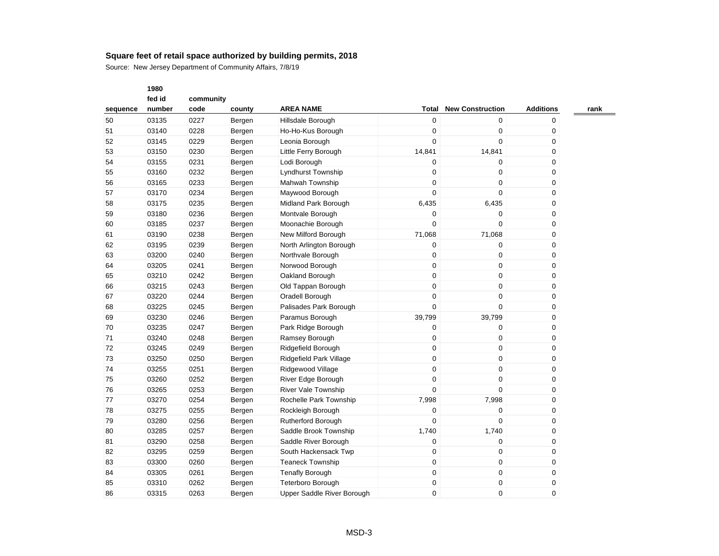Source: New Jersey Department of Community Affairs, 7/8/19

|          | fed id | community |        |                            |                  |                         |                  |      |
|----------|--------|-----------|--------|----------------------------|------------------|-------------------------|------------------|------|
| sequence | number | code      | county | <b>AREA NAME</b>           | Total            | <b>New Construction</b> | <b>Additions</b> | rank |
| 50       | 03135  | 0227      | Bergen | Hillsdale Borough          | $\pmb{0}$        | 0                       | 0                |      |
| 51       | 03140  | 0228      | Bergen | Ho-Ho-Kus Borough          | 0                | 0                       | 0                |      |
| 52       | 03145  | 0229      | Bergen | Leonia Borough             | $\mathbf 0$      | 0                       | $\mathbf 0$      |      |
| 53       | 03150  | 0230      | Bergen | Little Ferry Borough       | 14,841           | 14,841                  | 0                |      |
| 54       | 03155  | 0231      | Bergen | Lodi Borough               | 0                | 0                       | 0                |      |
| 55       | 03160  | 0232      | Bergen | <b>Lyndhurst Township</b>  | $\mathbf 0$      | 0                       | $\mathbf 0$      |      |
| 56       | 03165  | 0233      | Bergen | Mahwah Township            | 0                | 0                       | $\mathbf 0$      |      |
| 57       | 03170  | 0234      | Bergen | Maywood Borough            | 0                | 0                       | $\mathbf 0$      |      |
| 58       | 03175  | 0235      | Bergen | Midland Park Borough       | 6,435            | 6,435                   | 0                |      |
| 59       | 03180  | 0236      | Bergen | Montvale Borough           | $\mathbf 0$      | 0                       | 0                |      |
| 60       | 03185  | 0237      | Bergen | Moonachie Borough          | 0                | 0                       | 0                |      |
| 61       | 03190  | 0238      | Bergen | New Milford Borough        | 71,068           | 71,068                  | 0                |      |
| 62       | 03195  | 0239      | Bergen | North Arlington Borough    | 0                | 0                       | 0                |      |
| 63       | 03200  | 0240      | Bergen | Northvale Borough          | 0                | $\mathbf 0$             | $\mathbf 0$      |      |
| 64       | 03205  | 0241      | Bergen | Norwood Borough            | $\boldsymbol{0}$ | $\mathbf 0$             | 0                |      |
| 65       | 03210  | 0242      | Bergen | Oakland Borough            | 0                | $\boldsymbol{0}$        | 0                |      |
| 66       | 03215  | 0243      | Bergen | Old Tappan Borough         | 0                | $\boldsymbol{0}$        | 0                |      |
| 67       | 03220  | 0244      | Bergen | Oradell Borough            | $\mathbf 0$      | $\mathbf 0$             | $\mathbf 0$      |      |
| 68       | 03225  | 0245      | Bergen | Palisades Park Borough     | $\mathbf 0$      | 0                       | $\mathbf 0$      |      |
| 69       | 03230  | 0246      | Bergen | Paramus Borough            | 39,799           | 39,799                  | $\mathbf 0$      |      |
| 70       | 03235  | 0247      | Bergen | Park Ridge Borough         | 0                | 0                       | 0                |      |
| 71       | 03240  | 0248      | Bergen | Ramsey Borough             | 0                | 0                       | 0                |      |
| 72       | 03245  | 0249      | Bergen | Ridgefield Borough         | 0                | $\boldsymbol{0}$        | 0                |      |
| 73       | 03250  | 0250      | Bergen | Ridgefield Park Village    | 0                | $\mathbf 0$             | 0                |      |
| 74       | 03255  | 0251      | Bergen | Ridgewood Village          | 0                | 0                       | 0                |      |
| 75       | 03260  | 0252      | Bergen | River Edge Borough         | 0                | 0                       | $\mathbf 0$      |      |
| 76       | 03265  | 0253      | Bergen | <b>River Vale Township</b> | $\mathbf 0$      | 0                       | 0                |      |
| 77       | 03270  | 0254      | Bergen | Rochelle Park Township     | 7,998            | 7,998                   | 0                |      |
| 78       | 03275  | 0255      | Bergen | Rockleigh Borough          | 0                | 0                       | 0                |      |
| 79       | 03280  | 0256      | Bergen | <b>Rutherford Borough</b>  | $\mathbf 0$      | 0                       | 0                |      |
| 80       | 03285  | 0257      | Bergen | Saddle Brook Township      | 1,740            | 1,740                   | 0                |      |
| 81       | 03290  | 0258      | Bergen | Saddle River Borough       | 0                | 0                       | $\mathbf 0$      |      |
| 82       | 03295  | 0259      | Bergen | South Hackensack Twp       | 0                | 0                       | 0                |      |
| 83       | 03300  | 0260      | Bergen | <b>Teaneck Township</b>    | $\boldsymbol{0}$ | 0                       | 0                |      |
| 84       | 03305  | 0261      | Bergen | <b>Tenafly Borough</b>     | $\pmb{0}$        | $\mathbf 0$             | 0                |      |
| 85       | 03310  | 0262      | Bergen | Teterboro Borough          | 0                | 0                       | 0                |      |
| 86       | 03315  | 0263      | Bergen | Upper Saddle River Borough | 0                | 0                       | 0                |      |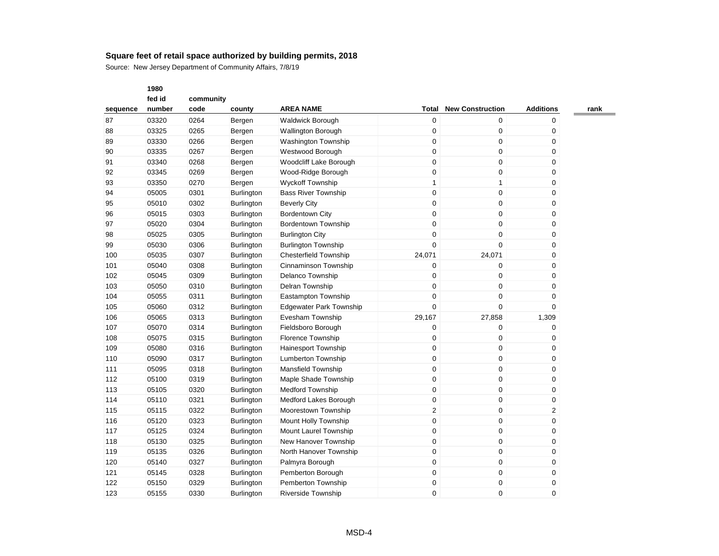Source: New Jersey Department of Community Affairs, 7/8/19

| sequence | fed id<br>number | community<br>code | county            | <b>AREA NAME</b>               | <b>Total</b>     | <b>New Construction</b> | <b>Additions</b> | rank |
|----------|------------------|-------------------|-------------------|--------------------------------|------------------|-------------------------|------------------|------|
| 87       | 03320            | 0264              | Bergen            | <b>Waldwick Borough</b>        | $\pmb{0}$        | 0                       | 0                |      |
| 88       | 03325            | 0265              | Bergen            | Wallington Borough             | $\mathbf 0$      | $\pmb{0}$               | 0                |      |
| 89       | 03330            | 0266              | Bergen            | Washington Township            | 0                | $\pmb{0}$               | 0                |      |
| 90       | 03335            | 0267              | Bergen            | Westwood Borough               | $\boldsymbol{0}$ | $\pmb{0}$               | 0                |      |
| 91       | 03340            | 0268              | Bergen            | Woodcliff Lake Borough         | 0                | $\mathbf 0$             | 0                |      |
| 92       | 03345            | 0269              | Bergen            | Wood-Ridge Borough             | $\boldsymbol{0}$ | $\pmb{0}$               | 0                |      |
| 93       | 03350            | 0270              | Bergen            | Wyckoff Township               | 1                | $\mathbf{1}$            | 0                |      |
| 94       | 05005            | 0301              | <b>Burlington</b> | <b>Bass River Township</b>     | 0                | $\mathbf 0$             | 0                |      |
| 95       | 05010            | 0302              | Burlington        | <b>Beverly City</b>            | 0                | $\pmb{0}$               | 0                |      |
| 96       | 05015            | 0303              | Burlington        | <b>Bordentown City</b>         | $\boldsymbol{0}$ | $\pmb{0}$               | 0                |      |
| 97       | 05020            | 0304              | Burlington        | Bordentown Township            | 0                | 0                       | 0                |      |
| 98       | 05025            | 0305              | Burlington        | <b>Burlington City</b>         | $\mathbf 0$      | $\pmb{0}$               | 0                |      |
| 99       | 05030            | 0306              | <b>Burlington</b> | <b>Burlington Township</b>     | $\mathbf 0$      | $\mathbf 0$             | 0                |      |
| 100      | 05035            | 0307              | <b>Burlington</b> | <b>Chesterfield Township</b>   | 24,071           | 24,071                  | 0                |      |
| 101      | 05040            | 0308              | <b>Burlington</b> | Cinnaminson Township           | $\mathbf 0$      | $\mathbf 0$             | 0                |      |
| 102      | 05045            | 0309              | <b>Burlington</b> | Delanco Township               | 0                | $\mathbf 0$             | 0                |      |
| 103      | 05050            | 0310              | <b>Burlington</b> | Delran Township                | $\boldsymbol{0}$ | $\pmb{0}$               | 0                |      |
| 104      | 05055            | 0311              | <b>Burlington</b> | <b>Eastampton Township</b>     | $\mathbf 0$      | $\mathbf 0$             | 0                |      |
| 105      | 05060            | 0312              | <b>Burlington</b> | <b>Edgewater Park Township</b> | $\mathbf 0$      | $\mathbf 0$             | 0                |      |
| 106      | 05065            | 0313              | <b>Burlington</b> | Evesham Township               | 29,167           | 27,858                  | 1,309            |      |
| 107      | 05070            | 0314              | <b>Burlington</b> | Fieldsboro Borough             | 0                | $\mathbf 0$             | 0                |      |
| 108      | 05075            | 0315              | <b>Burlington</b> | <b>Florence Township</b>       | 0                | $\mathbf 0$             | 0                |      |
| 109      | 05080            | 0316              | <b>Burlington</b> | <b>Hainesport Township</b>     | 0                | 0                       | 0                |      |
| 110      | 05090            | 0317              | <b>Burlington</b> | Lumberton Township             | 0                | 0                       | 0                |      |
| 111      | 05095            | 0318              | <b>Burlington</b> | <b>Mansfield Township</b>      | $\boldsymbol{0}$ | 0                       | 0                |      |
| 112      | 05100            | 0319              | <b>Burlington</b> | Maple Shade Township           | $\boldsymbol{0}$ | $\pmb{0}$               | 0                |      |
| 113      | 05105            | 0320              | <b>Burlington</b> | <b>Medford Township</b>        | 0                | 0                       | 0                |      |
| 114      | 05110            | 0321              | Burlington        | Medford Lakes Borough          | $\boldsymbol{0}$ | $\mathbf 0$             | 0                |      |
| 115      | 05115            | 0322              | <b>Burlington</b> | Moorestown Township            | $\overline{2}$   | $\pmb{0}$               | 2                |      |
| 116      | 05120            | 0323              | <b>Burlington</b> | Mount Holly Township           | $\pmb{0}$        | $\pmb{0}$               | 0                |      |
| 117      | 05125            | 0324              | Burlington        | Mount Laurel Township          | 0                | $\mathbf 0$             | 0                |      |
| 118      | 05130            | 0325              | Burlington        | New Hanover Township           | $\boldsymbol{0}$ | $\pmb{0}$               | 0                |      |
| 119      | 05135            | 0326              | Burlington        | North Hanover Township         | $\boldsymbol{0}$ | $\pmb{0}$               | 0                |      |
| 120      | 05140            | 0327              | Burlington        | Palmyra Borough                | 0                | $\mathbf 0$             | 0                |      |
| 121      | 05145            | 0328              | Burlington        | Pemberton Borough              | $\boldsymbol{0}$ | $\pmb{0}$               | 0                |      |
| 122      | 05150            | 0329              | <b>Burlington</b> | Pemberton Township             | $\boldsymbol{0}$ | 0                       | 0                |      |
| 123      | 05155            | 0330              | <b>Burlington</b> | <b>Riverside Township</b>      | $\mathbf 0$      | 0                       | 0                |      |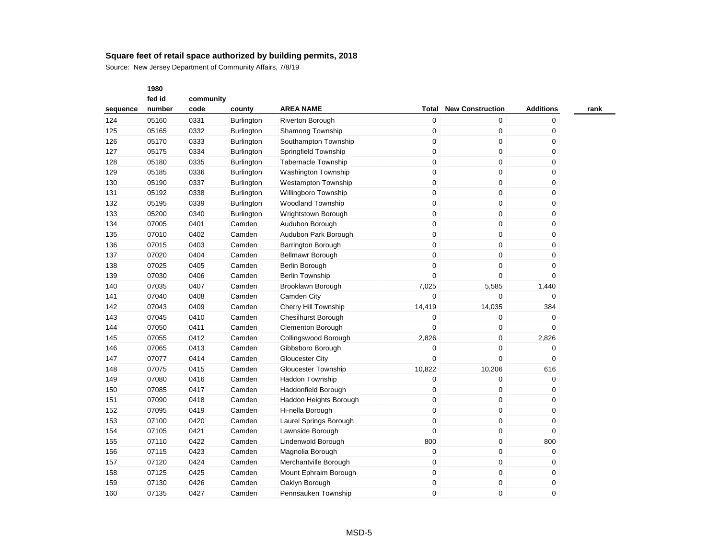Source: New Jersey Department of Community Affairs, 7/8/19

|          | fed id | community |                   |                            |                  |                         |                  |      |
|----------|--------|-----------|-------------------|----------------------------|------------------|-------------------------|------------------|------|
| sequence | number | code      | county            | <b>AREA NAME</b>           | Total            | <b>New Construction</b> | <b>Additions</b> | rank |
| 124      | 05160  | 0331      | <b>Burlington</b> | <b>Riverton Borough</b>    | 0                | 0                       | 0                |      |
| 125      | 05165  | 0332      | Burlington        | <b>Shamong Township</b>    | $\mathbf 0$      | 0                       | 0                |      |
| 126      | 05170  | 0333      | <b>Burlington</b> | Southampton Township       | $\pmb{0}$        | $\pmb{0}$               | 0                |      |
| 127      | 05175  | 0334      | Burlington        | Springfield Township       | 0                | $\pmb{0}$               | 0                |      |
| 128      | 05180  | 0335      | Burlington        | <b>Tabernacle Township</b> | $\pmb{0}$        | $\pmb{0}$               | 0                |      |
| 129      | 05185  | 0336      | Burlington        | Washington Township        | $\mathbf 0$      | $\pmb{0}$               | 0                |      |
| 130      | 05190  | 0337      | Burlington        | <b>Westampton Township</b> | 0                | $\pmb{0}$               | 0                |      |
| 131      | 05192  | 0338      | Burlington        | Willingboro Township       | 0                | $\pmb{0}$               | 0                |      |
| 132      | 05195  | 0339      | Burlington        | <b>Woodland Township</b>   | 0                | 0                       | 0                |      |
| 133      | 05200  | 0340      | Burlington        | Wrightstown Borough        | 0                | 0                       | 0                |      |
| 134      | 07005  | 0401      | Camden            | Audubon Borough            | 0                | 0                       | 0                |      |
| 135      | 07010  | 0402      | Camden            | Audubon Park Borough       | 0                | $\pmb{0}$               | 0                |      |
| 136      | 07015  | 0403      | Camden            | <b>Barrington Borough</b>  | $\mathbf 0$      | 0                       | 0                |      |
| 137      | 07020  | 0404      | Camden            | Bellmawr Borough           | 0                | $\pmb{0}$               | 0                |      |
| 138      | 07025  | 0405      | Camden            | Berlin Borough             | 0                | $\mathbf 0$             | 0                |      |
| 139      | 07030  | 0406      | Camden            | <b>Berlin Township</b>     | $\Omega$         | $\Omega$                | $\Omega$         |      |
| 140      | 07035  | 0407      | Camden            | Brooklawn Borough          | 7,025            | 5,585                   | 1,440            |      |
| 141      | 07040  | 0408      | Camden            | Camden City                | 0                | 0                       | 0                |      |
| 142      | 07043  | 0409      | Camden            | Cherry Hill Township       | 14,419           | 14,035                  | 384              |      |
| 143      | 07045  | 0410      | Camden            | Chesilhurst Borough        | 0                | $\mathbf 0$             | 0                |      |
| 144      | 07050  | 0411      | Camden            | <b>Clementon Borough</b>   | 0                | $\pmb{0}$               | 0                |      |
| 145      | 07055  | 0412      | Camden            | Collingswood Borough       | 2,826            | 0                       | 2,826            |      |
| 146      | 07065  | 0413      | Camden            | Gibbsboro Borough          | 0                | $\mathbf 0$             | 0                |      |
| 147      | 07077  | 0414      | Camden            | <b>Gloucester City</b>     | 0                | 0                       | $\mathbf 0$      |      |
| 148      | 07075  | 0415      | Camden            | <b>Gloucester Township</b> | 10,822           | 10,206                  | 616              |      |
| 149      | 07080  | 0416      | Camden            | <b>Haddon Township</b>     | 0                | 0                       | 0                |      |
| 150      | 07085  | 0417      | Camden            | Haddonfield Borough        | 0                | 0                       | 0                |      |
| 151      | 07090  | 0418      | Camden            | Haddon Heights Borough     | $\boldsymbol{0}$ | $\pmb{0}$               | 0                |      |
| 152      | 07095  | 0419      | Camden            | Hi-nella Borough           | 0                | $\pmb{0}$               | 0                |      |
| 153      | 07100  | 0420      | Camden            | Laurel Springs Borough     | $\pmb{0}$        | $\pmb{0}$               | 0                |      |
| 154      | 07105  | 0421      | Camden            | Lawnside Borough           | 0                | 0                       | 0                |      |
| 155      | 07110  | 0422      | Camden            | Lindenwold Borough         | 800              | $\pmb{0}$               | 800              |      |
| 156      | 07115  | 0423      | Camden            | Magnolia Borough           | $\boldsymbol{0}$ | $\pmb{0}$               | 0                |      |
| 157      | 07120  | 0424      | Camden            | Merchantville Borough      | $\mathbf 0$      | 0                       | 0                |      |
| 158      | 07125  | 0425      | Camden            | Mount Ephraim Borough      | 0                | $\pmb{0}$               | 0                |      |
| 159      | 07130  | 0426      | Camden            | Oaklyn Borough             | 0                | 0                       | 0                |      |
| 160      | 07135  | 0427      | Camden            | Pennsauken Township        | 0                | 0                       | 0                |      |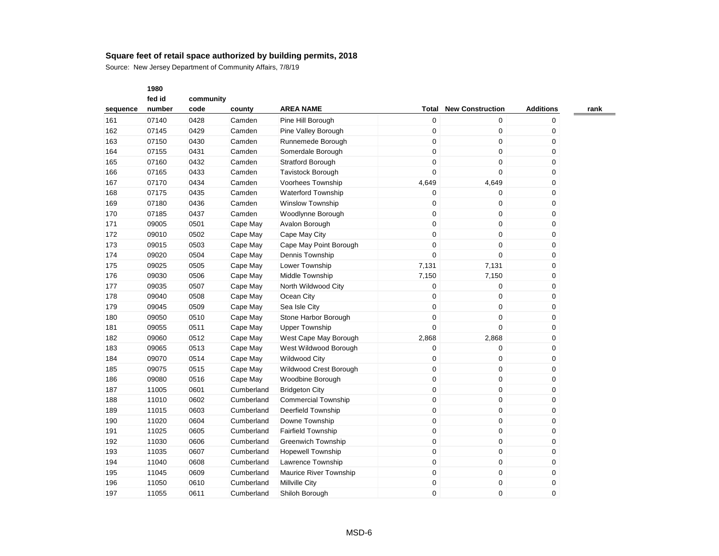|          | 1980<br>fed id | community |            |                            |                  |                         |                  |      |
|----------|----------------|-----------|------------|----------------------------|------------------|-------------------------|------------------|------|
| sequence | number         | code      | county     | <b>AREA NAME</b>           | Total            | <b>New Construction</b> | <b>Additions</b> | rank |
| 161      | 07140          | 0428      | Camden     | Pine Hill Borough          | $\mathbf 0$      | 0                       | 0                |      |
| 162      | 07145          | 0429      | Camden     | Pine Valley Borough        | 0                | $\mathbf 0$             | 0                |      |
| 163      | 07150          | 0430      | Camden     | Runnemede Borough          | 0                | 0                       | 0                |      |
| 164      | 07155          | 0431      | Camden     | Somerdale Borough          | $\boldsymbol{0}$ | $\pmb{0}$               | 0                |      |
| 165      | 07160          | 0432      | Camden     | <b>Stratford Borough</b>   | $\boldsymbol{0}$ | $\pmb{0}$               | 0                |      |
| 166      | 07165          | 0433      | Camden     | <b>Tavistock Borough</b>   | $\mathbf 0$      | $\mathbf 0$             | 0                |      |
| 167      | 07170          | 0434      | Camden     | Voorhees Township          | 4,649            | 4,649                   | 0                |      |
| 168      | 07175          | 0435      | Camden     | <b>Waterford Township</b>  | 0                | 0                       | 0                |      |
| 169      | 07180          | 0436      | Camden     | Winslow Township           | $\boldsymbol{0}$ | $\mathbf 0$             | 0                |      |
| 170      | 07185          | 0437      | Camden     | Woodlynne Borough          | 0                | $\pmb{0}$               | 0                |      |
| 171      | 09005          | 0501      | Cape May   | Avalon Borough             | 0                | $\mathbf 0$             | 0                |      |
| 172      | 09010          | 0502      | Cape May   | Cape May City              | $\mathbf 0$      | $\mathbf 0$             | 0                |      |
| 173      | 09015          | 0503      | Cape May   | Cape May Point Borough     | $\boldsymbol{0}$ | $\pmb{0}$               | 0                |      |
| 174      | 09020          | 0504      | Cape May   | Dennis Township            | $\mathbf 0$      | $\mathbf 0$             | 0                |      |
| 175      | 09025          | 0505      | Cape May   | Lower Township             | 7,131            | 7,131                   | 0                |      |
| 176      | 09030          | 0506      | Cape May   | Middle Township            | 7,150            | 7,150                   | 0                |      |
| 177      | 09035          | 0507      | Cape May   | North Wildwood City        | $\mathbf 0$      | $\mathbf 0$             | 0                |      |
| 178      | 09040          | 0508      | Cape May   | Ocean City                 | 0                | $\pmb{0}$               | 0                |      |
| 179      | 09045          | 0509      | Cape May   | Sea Isle City              | $\boldsymbol{0}$ | $\mathbf 0$             | 0                |      |
| 180      | 09050          | 0510      | Cape May   | Stone Harbor Borough       | $\boldsymbol{0}$ | $\pmb{0}$               | 0                |      |
| 181      | 09055          | 0511      | Cape May   | <b>Upper Township</b>      | $\mathbf 0$      | $\mathbf 0$             | 0                |      |
| 182      | 09060          | 0512      | Cape May   | West Cape May Borough      | 2,868            | 2,868                   | 0                |      |
| 183      | 09065          | 0513      | Cape May   | West Wildwood Borough      | 0                | 0                       | 0                |      |
| 184      | 09070          | 0514      | Cape May   | <b>Wildwood City</b>       | $\mathbf 0$      | $\mathbf 0$             | 0                |      |
| 185      | 09075          | 0515      | Cape May   | Wildwood Crest Borough     | $\boldsymbol{0}$ | 0                       | 0                |      |
| 186      | 09080          | 0516      | Cape May   | Woodbine Borough           | 0                | $\pmb{0}$               | 0                |      |
| 187      | 11005          | 0601      | Cumberland | <b>Bridgeton City</b>      | $\mathbf 0$      | $\mathbf 0$             | 0                |      |
| 188      | 11010          | 0602      | Cumberland | <b>Commercial Township</b> | 0                | 0                       | 0                |      |
| 189      | 11015          | 0603      | Cumberland | <b>Deerfield Township</b>  | $\boldsymbol{0}$ | 0                       | 0                |      |
| 190      | 11020          | 0604      | Cumberland | Downe Township             | $\mathbf 0$      | $\boldsymbol{0}$        | 0                |      |
| 191      | 11025          | 0605      | Cumberland | <b>Fairfield Township</b>  | $\boldsymbol{0}$ | $\pmb{0}$               | 0                |      |
| 192      | 11030          | 0606      | Cumberland | <b>Greenwich Township</b>  | $\mathbf 0$      | $\mathbf 0$             | 0                |      |
| 193      | 11035          | 0607      | Cumberland | <b>Hopewell Township</b>   | $\boldsymbol{0}$ | $\pmb{0}$               | 0                |      |
| 194      | 11040          | 0608      | Cumberland | Lawrence Township          | 0                | $\pmb{0}$               | 0                |      |
| 195      | 11045          | 0609      | Cumberland | Maurice River Township     | $\boldsymbol{0}$ | $\pmb{0}$               | 0                |      |
| 196      | 11050          | 0610      | Cumberland | <b>Millville City</b>      | 0                | $\mathbf 0$             | 0                |      |
| 197      | 11055          | 0611      | Cumberland | Shiloh Borough             | $\Omega$         | 0                       | $\Omega$         |      |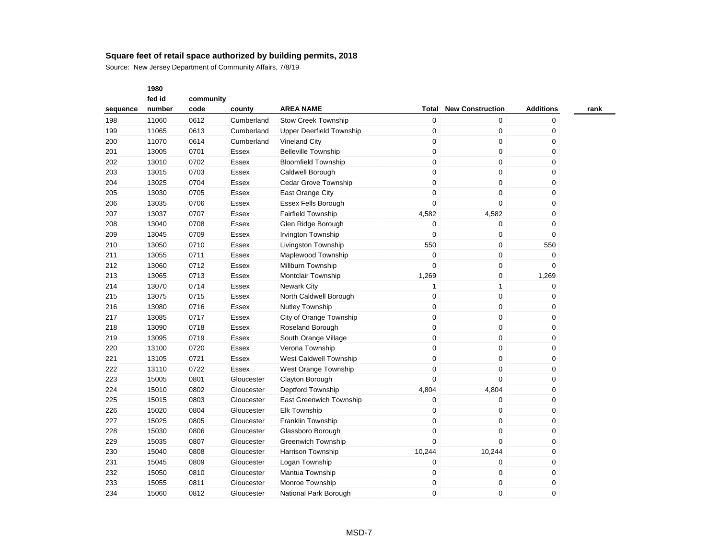Source: New Jersey Department of Community Affairs, 7/8/19

|          | fed id | community |              |                                 |                  |                         |                  |      |
|----------|--------|-----------|--------------|---------------------------------|------------------|-------------------------|------------------|------|
| sequence | number | code      | county       | <b>AREA NAME</b>                | Total            | <b>New Construction</b> | <b>Additions</b> | rank |
| 198      | 11060  | 0612      | Cumberland   | <b>Stow Creek Township</b>      | 0                | 0                       | 0                |      |
| 199      | 11065  | 0613      | Cumberland   | <b>Upper Deerfield Township</b> | $\mathbf 0$      | 0                       | 0                |      |
| 200      | 11070  | 0614      | Cumberland   | <b>Vineland City</b>            | $\mathbf 0$      | $\mathbf 0$             | 0                |      |
| 201      | 13005  | 0701      | Essex        | <b>Belleville Township</b>      | $\boldsymbol{0}$ | $\mathbf 0$             | 0                |      |
| 202      | 13010  | 0702      | Essex        | <b>Bloomfield Township</b>      | $\boldsymbol{0}$ | $\mathbf 0$             | 0                |      |
| 203      | 13015  | 0703      | Essex        | Caldwell Borough                | $\mathbf 0$      | $\mathbf 0$             | 0                |      |
| 204      | 13025  | 0704      | Essex        | Cedar Grove Township            | 0                | 0                       | 0                |      |
| 205      | 13030  | 0705      | Essex        | East Orange City                | 0                | $\mathbf 0$             | 0                |      |
| 206      | 13035  | 0706      | Essex        | <b>Essex Fells Borough</b>      | 0                | $\mathbf 0$             | 0                |      |
| 207      | 13037  | 0707      | Essex        | <b>Fairfield Township</b>       | 4,582            | 4,582                   | 0                |      |
| 208      | 13040  | 0708      | Essex        | Glen Ridge Borough              | 0                | $\mathbf 0$             | 0                |      |
| 209      | 13045  | 0709      | Essex        | Irvington Township              | 0                | 0                       | 0                |      |
| 210      | 13050  | 0710      | Essex        | Livingston Township             | 550              | 0                       | 550              |      |
| 211      | 13055  | 0711      | Essex        | Maplewood Township              | $\mathbf 0$      | $\mathbf 0$             | 0                |      |
| 212      | 13060  | 0712      | Essex        | Millburn Township               | $\mathbf 0$      | 0                       | 0                |      |
| 213      | 13065  | 0713      | Essex        | <b>Montclair Township</b>       | 1,269            | 0                       | 1,269            |      |
| 214      | 13070  | 0714      | <b>Essex</b> | <b>Newark City</b>              | 1                | $\mathbf{1}$            | 0                |      |
| 215      | 13075  | 0715      | <b>Essex</b> | North Caldwell Borough          | $\boldsymbol{0}$ | $\mathbf 0$             | 0                |      |
| 216      | 13080  | 0716      | Essex        | Nutley Township                 | 0                | 0                       | 0                |      |
| 217      | 13085  | 0717      | <b>Essex</b> | City of Orange Township         | 0                | $\mathbf 0$             | 0                |      |
| 218      | 13090  | 0718      | <b>Essex</b> | Roseland Borough                | $\boldsymbol{0}$ | $\mathbf 0$             | 0                |      |
| 219      | 13095  | 0719      | Essex        | South Orange Village            | 0                | $\mathbf 0$             | 0                |      |
| 220      | 13100  | 0720      | Essex        | Verona Township                 | $\mathbf 0$      | 0                       | 0                |      |
| 221      | 13105  | 0721      | Essex        | West Caldwell Township          | 0                | 0                       | 0                |      |
| 222      | 13110  | 0722      | Essex        | <b>West Orange Township</b>     | 0                | $\mathbf 0$             | 0                |      |
| 223      | 15005  | 0801      | Gloucester   | Clayton Borough                 | 0                | $\mathbf 0$             | 0                |      |
| 224      | 15010  | 0802      | Gloucester   | <b>Deptford Township</b>        | 4,804            | 4,804                   | 0                |      |
| 225      | 15015  | 0803      | Gloucester   | East Greenwich Township         | 0                | 0                       | 0                |      |
| 226      | 15020  | 0804      | Gloucester   | <b>Elk Township</b>             | $\boldsymbol{0}$ | $\mathbf 0$             | 0                |      |
| 227      | 15025  | 0805      | Gloucester   | Franklin Township               | $\boldsymbol{0}$ | $\mathbf 0$             | 0                |      |
| 228      | 15030  | 0806      | Gloucester   | Glassboro Borough               | 0                | $\overline{0}$          | 0                |      |
| 229      | 15035  | 0807      | Gloucester   | <b>Greenwich Township</b>       | 0                | $\mathbf 0$             | 0                |      |
| 230      | 15040  | 0808      | Gloucester   | Harrison Township               | 10,244           | 10,244                  | 0                |      |
| 231      | 15045  | 0809      | Gloucester   | Logan Township                  | 0                | $\mathbf 0$             | 0                |      |
| 232      | 15050  | 0810      | Gloucester   | Mantua Township                 | 0                | $\mathbf 0$             | 0                |      |
| 233      | 15055  | 0811      | Gloucester   | Monroe Township                 | 0                | 0                       | 0                |      |
| 234      | 15060  | 0812      | Gloucester   | National Park Borough           | 0                | 0                       | 0                |      |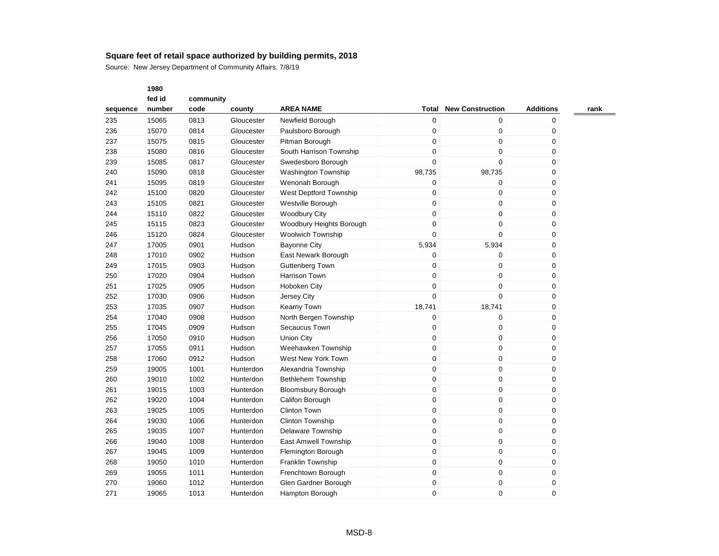Source: New Jersey Department of Community Affairs, 7/8/19

| sequence | fed id<br>number | community<br>code | county     | <b>AREA NAME</b>           | Total            | <b>New Construction</b> | <b>Additions</b> | rank |
|----------|------------------|-------------------|------------|----------------------------|------------------|-------------------------|------------------|------|
| 235      | 15065            | 0813              | Gloucester | Newfield Borough           | 0                | 0                       | 0                |      |
| 236      | 15070            | 0814              | Gloucester | Paulsboro Borough          | $\mathbf 0$      | $\mathbf 0$             | 0                |      |
| 237      | 15075            | 0815              | Gloucester | Pitman Borough             | 0                | $\mathbf 0$             | 0                |      |
| 238      | 15080            | 0816              | Gloucester | South Harrison Township    | $\boldsymbol{0}$ | $\mathbf 0$             | 0                |      |
| 239      | 15085            | 0817              | Gloucester | Swedesboro Borough         | 0                | $\overline{0}$          | 0                |      |
| 240      | 15090            | 0818              | Gloucester | <b>Washington Township</b> | 98,735           | 98,735                  | 0                |      |
| 241      | 15095            | 0819              | Gloucester | Wenonah Borough            | 0                | 0                       | 0                |      |
| 242      | 15100            | 0820              | Gloucester | West Deptford Township     | 0                | 0                       | 0                |      |
| 243      | 15105            | 0821              | Gloucester | Westville Borough          | 0                | $\mathbf 0$             | 0                |      |
| 244      | 15110            | 0822              | Gloucester | <b>Woodbury City</b>       | 0                | $\mathbf 0$             | 0                |      |
| 245      | 15115            | 0823              | Gloucester | Woodbury Heights Borough   | 0                | $\pmb{0}$               | 0                |      |
| 246      | 15120            | 0824              | Gloucester | <b>Woolwich Township</b>   | 0                | $\mathbf 0$             | 0                |      |
| 247      | 17005            | 0901              | Hudson     | <b>Bayonne City</b>        | 5,934            | 5,934                   | 0                |      |
| 248      | 17010            | 0902              | Hudson     | East Newark Borough        | 0                | 0                       | 0                |      |
| 249      | 17015            | 0903              | Hudson     | <b>Guttenberg Town</b>     | 0                | $\mathbf 0$             | 0                |      |
| 250      | 17020            | 0904              | Hudson     | <b>Harrison Town</b>       | 0                | $\mathbf 0$             | 0                |      |
| 251      | 17025            | 0905              | Hudson     | <b>Hoboken City</b>        | 0                | $\mathbf 0$             | 0                |      |
| 252      | 17030            | 0906              | Hudson     | Jersey City                | 0                | $\Omega$                | 0                |      |
| 253      | 17035            | 0907              | Hudson     | Kearny Town                | 18,741           | 18,741                  | 0                |      |
| 254      | 17040            | 0908              | Hudson     | North Bergen Township      | 0                | $\mathbf 0$             | 0                |      |
| 255      | 17045            | 0909              | Hudson     | Secaucus Town              | $\mathbf 0$      | $\mathbf 0$             | 0                |      |
| 256      | 17050            | 0910              | Hudson     | <b>Union City</b>          | 0                | 0                       | 0                |      |
| 257      | 17055            | 0911              | Hudson     | Weehawken Township         | 0                | 0                       | 0                |      |
| 258      | 17060            | 0912              | Hudson     | West New York Town         | 0                | 0                       | 0                |      |
| 259      | 19005            | 1001              | Hunterdon  | Alexandria Township        | 0                | $\mathbf 0$             | 0                |      |
| 260      | 19010            | 1002              | Hunterdon  | <b>Bethlehem Township</b>  | 0                | $\pmb{0}$               | 0                |      |
| 261      | 19015            | 1003              | Hunterdon  | <b>Bloomsbury Borough</b>  | $\boldsymbol{0}$ | $\mathbf 0$             | 0                |      |
| 262      | 19020            | 1004              | Hunterdon  | Califon Borough            | $\mathbf 0$      | $\mathbf 0$             | 0                |      |
| 263      | 19025            | 1005              | Hunterdon  | Clinton Town               | $\boldsymbol{0}$ | $\mathbf 0$             | 0                |      |
| 264      | 19030            | 1006              | Hunterdon  | <b>Clinton Township</b>    | $\boldsymbol{0}$ | $\mathbf 0$             | 0                |      |
| 265      | 19035            | 1007              | Hunterdon  | <b>Delaware Township</b>   | 0                | 0                       | 0                |      |
| 266      | 19040            | 1008              | Hunterdon  | East Amwell Township       | 0                | $\mathbf 0$             | 0                |      |
| 267      | 19045            | 1009              | Hunterdon  | Flemington Borough         | 0                | $\pmb{0}$               | 0                |      |
| 268      | 19050            | 1010              | Hunterdon  | Franklin Township          | 0                | $\mathbf 0$             | 0                |      |
| 269      | 19055            | 1011              | Hunterdon  | Frenchtown Borough         | 0                | $\mathbf 0$             | 0                |      |
| 270      | 19060            | 1012              | Hunterdon  | Glen Gardner Borough       | 0                | $\mathbf 0$             | 0                |      |
| 271      | 19065            | 1013              | Hunterdon  | Hampton Borough            | 0                | 0                       | 0                |      |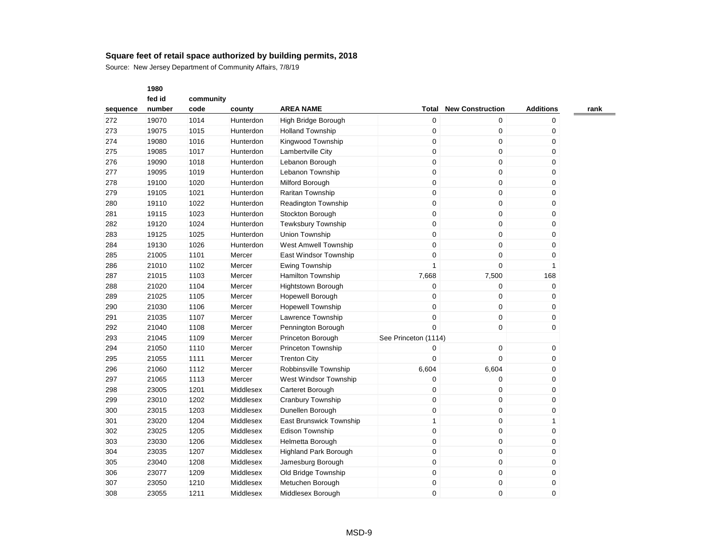Source: New Jersey Department of Community Affairs, 7/8/19

|          | fed id | community |           |                             |                      |                         |                  |      |
|----------|--------|-----------|-----------|-----------------------------|----------------------|-------------------------|------------------|------|
| sequence | number | code      | county    | <b>AREA NAME</b>            | <b>Total</b>         | <b>New Construction</b> | <b>Additions</b> | rank |
| 272      | 19070  | 1014      | Hunterdon | High Bridge Borough         | $\pmb{0}$            | 0                       | 0                |      |
| 273      | 19075  | 1015      | Hunterdon | <b>Holland Township</b>     | $\mathbf 0$          | 0                       | 0                |      |
| 274      | 19080  | 1016      | Hunterdon | Kingwood Township           | 0                    | $\pmb{0}$               | 0                |      |
| 275      | 19085  | 1017      | Hunterdon | Lambertville City           | $\pmb{0}$            | $\pmb{0}$               | 0                |      |
| 276      | 19090  | 1018      | Hunterdon | Lebanon Borough             | 0                    | $\pmb{0}$               | 0                |      |
| 277      | 19095  | 1019      | Hunterdon | Lebanon Township            | $\mathbf 0$          | $\pmb{0}$               | 0                |      |
| 278      | 19100  | 1020      | Hunterdon | Milford Borough             | $\pmb{0}$            | $\boldsymbol{0}$        | 0                |      |
| 279      | 19105  | 1021      | Hunterdon | Raritan Township            | 0                    | $\boldsymbol{0}$        | 0                |      |
| 280      | 19110  | 1022      | Hunterdon | Readington Township         | 0                    | $\pmb{0}$               | 0                |      |
| 281      | 19115  | 1023      | Hunterdon | Stockton Borough            | 0                    | $\mathbf 0$             | 0                |      |
| 282      | 19120  | 1024      | Hunterdon | <b>Tewksbury Township</b>   | 0                    | $\pmb{0}$               | 0                |      |
| 283      | 19125  | 1025      | Hunterdon | Union Township              | 0                    | $\pmb{0}$               | 0                |      |
| 284      | 19130  | 1026      | Hunterdon | <b>West Amwell Township</b> | 0                    | 0                       | 0                |      |
| 285      | 21005  | 1101      | Mercer    | East Windsor Township       | 0                    | 0                       | 0                |      |
| 286      | 21010  | 1102      | Mercer    | Ewing Township              | 1                    | $\mathbf 0$             | $\mathbf{1}$     |      |
| 287      | 21015  | 1103      | Mercer    | <b>Hamilton Township</b>    | 7,668                | 7,500                   | 168              |      |
| 288      | 21020  | 1104      | Mercer    | Hightstown Borough          | 0                    | 0                       | 0                |      |
| 289      | 21025  | 1105      | Mercer    | <b>Hopewell Borough</b>     | $\mathbf 0$          | $\pmb{0}$               | 0                |      |
| 290      | 21030  | 1106      | Mercer    | <b>Hopewell Township</b>    | $\pmb{0}$            | $\mathbf 0$             | 0                |      |
| 291      | 21035  | 1107      | Mercer    | Lawrence Township           | 0                    | $\pmb{0}$               | 0                |      |
| 292      | 21040  | 1108      | Mercer    | Pennington Borough          | $\overline{0}$       | $\pmb{0}$               | 0                |      |
| 293      | 21045  | 1109      | Mercer    | Princeton Borough           | See Princeton (1114) |                         |                  |      |
| 294      | 21050  | 1110      | Mercer    | <b>Princeton Township</b>   | 0                    | 0                       | 0                |      |
| 295      | 21055  | 1111      | Mercer    | <b>Trenton City</b>         | $\pmb{0}$            | 0                       | 0                |      |
| 296      | 21060  | 1112      | Mercer    | Robbinsville Township       | 6,604                | 6,604                   | 0                |      |
| 297      | 21065  | 1113      | Mercer    | West Windsor Township       | 0                    | 0                       | 0                |      |
| 298      | 23005  | 1201      | Middlesex | Carteret Borough            | 0                    | $\mathbf 0$             | 0                |      |
| 299      | 23010  | 1202      | Middlesex | <b>Cranbury Township</b>    | $\pmb{0}$            | $\pmb{0}$               | 0                |      |
| 300      | 23015  | 1203      | Middlesex | Dunellen Borough            | $\pmb{0}$            | $\pmb{0}$               | 0                |      |
| 301      | 23020  | 1204      | Middlesex | East Brunswick Township     | $\mathbf{1}$         | $\boldsymbol{0}$        | $\mathbf{1}$     |      |
| 302      | 23025  | 1205      | Middlesex | <b>Edison Township</b>      | $\pmb{0}$            | $\pmb{0}$               | 0                |      |
| 303      | 23030  | 1206      | Middlesex | Helmetta Borough            | 0                    | $\pmb{0}$               | 0                |      |
| 304      | 23035  | 1207      | Middlesex | Highland Park Borough       | 0                    | $\pmb{0}$               | 0                |      |
| 305      | 23040  | 1208      | Middlesex | Jamesburg Borough           | 0                    | $\pmb{0}$               | 0                |      |
| 306      | 23077  | 1209      | Middlesex | Old Bridge Township         | $\pmb{0}$            | $\pmb{0}$               | 0                |      |
| 307      | 23050  | 1210      | Middlesex | Metuchen Borough            | 0                    | 0                       | 0                |      |
| 308      | 23055  | 1211      | Middlesex | Middlesex Borough           | 0                    | 0                       | 0                |      |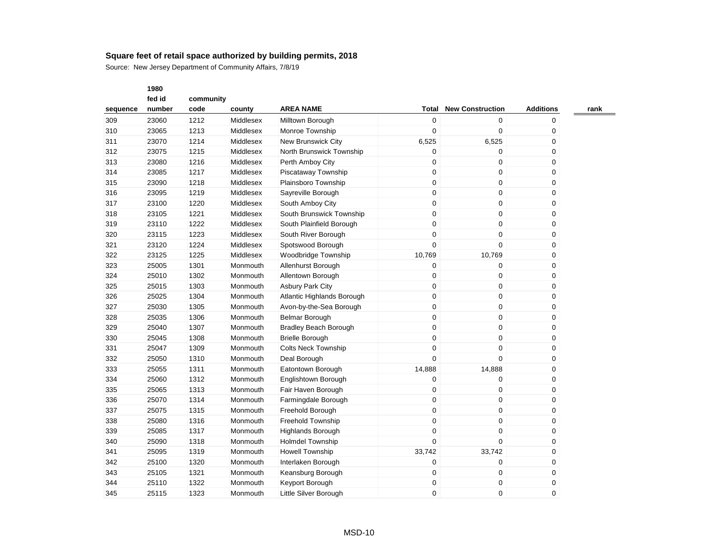Source: New Jersey Department of Community Affairs, 7/8/19

| sequence | fed id<br>number | community<br>code | county    | <b>AREA NAME</b>             | Total            | <b>New Construction</b> | <b>Additions</b> | rank |
|----------|------------------|-------------------|-----------|------------------------------|------------------|-------------------------|------------------|------|
| 309      | 23060            | 1212              | Middlesex | Milltown Borough             | $\boldsymbol{0}$ | 0                       | 0                |      |
| 310      | 23065            | 1213              | Middlesex | Monroe Township              | $\mathbf 0$      | $\Omega$                | 0                |      |
| 311      | 23070            | 1214              | Middlesex | New Brunswick City           | 6,525            | 6,525                   | 0                |      |
| 312      | 23075            | 1215              | Middlesex | North Brunswick Township     | $\boldsymbol{0}$ | $\pmb{0}$               | 0                |      |
| 313      | 23080            | 1216              | Middlesex | Perth Amboy City             | $\boldsymbol{0}$ | $\mathbf 0$             | 0                |      |
| 314      | 23085            | 1217              | Middlesex | Piscataway Township          | $\boldsymbol{0}$ | 0                       | 0                |      |
| 315      | 23090            | 1218              | Middlesex | Plainsboro Township          | $\boldsymbol{0}$ | $\pmb{0}$               | 0                |      |
| 316      | 23095            | 1219              | Middlesex | Sayreville Borough           | $\boldsymbol{0}$ | $\pmb{0}$               | 0                |      |
| 317      | 23100            | 1220              | Middlesex | South Amboy City             | 0                | 0                       | 0                |      |
| 318      | 23105            | 1221              | Middlesex | South Brunswick Township     | $\pmb{0}$        | $\pmb{0}$               | 0                |      |
| 319      | 23110            | 1222              | Middlesex | South Plainfield Borough     | $\boldsymbol{0}$ | $\pmb{0}$               | 0                |      |
| 320      | 23115            | 1223              | Middlesex | South River Borough          | $\boldsymbol{0}$ | 0                       | 0                |      |
| 321      | 23120            | 1224              | Middlesex | Spotswood Borough            | $\boldsymbol{0}$ | $\pmb{0}$               | 0                |      |
| 322      | 23125            | 1225              | Middlesex | Woodbridge Township          | 10,769           | 10,769                  | 0                |      |
| 323      | 25005            | 1301              | Monmouth  | Allenhurst Borough           | 0                | $\mathbf 0$             | 0                |      |
| 324      | 25010            | 1302              | Monmouth  | Allentown Borough            | $\boldsymbol{0}$ | $\pmb{0}$               | 0                |      |
| 325      | 25015            | 1303              | Monmouth  | <b>Asbury Park City</b>      | $\boldsymbol{0}$ | $\mathbf 0$             | 0                |      |
| 326      | 25025            | 1304              | Monmouth  | Atlantic Highlands Borough   | $\mathbf 0$      | 0                       | 0                |      |
| 327      | 25030            | 1305              | Monmouth  | Avon-by-the-Sea Borough      | $\boldsymbol{0}$ | 0                       | 0                |      |
| 328      | 25035            | 1306              | Monmouth  | Belmar Borough               | $\boldsymbol{0}$ | $\mathbf 0$             | 0                |      |
| 329      | 25040            | 1307              | Monmouth  | <b>Bradley Beach Borough</b> | 0                | 0                       | 0                |      |
| 330      | 25045            | 1308              | Monmouth  | <b>Brielle Borough</b>       | 0                | 0                       | 0                |      |
| 331      | 25047            | 1309              | Monmouth  | <b>Colts Neck Township</b>   | $\boldsymbol{0}$ | $\pmb{0}$               | 0                |      |
| 332      | 25050            | 1310              | Monmouth  | Deal Borough                 | 0                | $\mathbf 0$             | 0                |      |
| 333      | 25055            | 1311              | Monmouth  | Eatontown Borough            | 14,888           | 14,888                  | 0                |      |
| 334      | 25060            | 1312              | Monmouth  | Englishtown Borough          | $\mathbf 0$      | $\pmb{0}$               | 0                |      |
| 335      | 25065            | 1313              | Monmouth  | Fair Haven Borough           | $\boldsymbol{0}$ | $\mathbf 0$             | 0                |      |
| 336      | 25070            | 1314              | Monmouth  | Farmingdale Borough          | 0                | $\pmb{0}$               | 0                |      |
| 337      | 25075            | 1315              | Monmouth  | Freehold Borough             | $\mathbf 0$      | $\boldsymbol{0}$        | 0                |      |
| 338      | 25080            | 1316              | Monmouth  | <b>Freehold Township</b>     | $\boldsymbol{0}$ | $\pmb{0}$               | 0                |      |
| 339      | 25085            | 1317              | Monmouth  | Highlands Borough            | $\boldsymbol{0}$ | $\pmb{0}$               | 0                |      |
| 340      | 25090            | 1318              | Monmouth  | <b>Holmdel Township</b>      | 0                | 0                       | 0                |      |
| 341      | 25095            | 1319              | Monmouth  | <b>Howell Township</b>       | 33,742           | 33,742                  | 0                |      |
| 342      | 25100            | 1320              | Monmouth  | Interlaken Borough           | 0                | 0                       | 0                |      |
| 343      | 25105            | 1321              | Monmouth  | Keansburg Borough            | $\boldsymbol{0}$ | 0                       | 0                |      |
| 344      | 25110            | 1322              | Monmouth  | Keyport Borough              | $\boldsymbol{0}$ | 0                       | 0                |      |
| 345      | 25115            | 1323              | Monmouth  | Little Silver Borough        | $\mathbf 0$      | 0                       | 0                |      |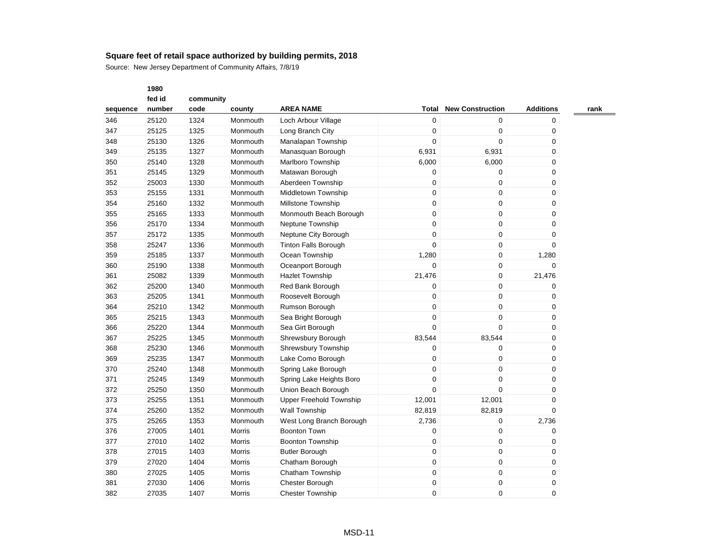Source: New Jersey Department of Community Affairs, 7/8/19

|          | fed id | community |          |                                |                  |                         |                  |      |
|----------|--------|-----------|----------|--------------------------------|------------------|-------------------------|------------------|------|
| sequence | number | code      | county   | <b>AREA NAME</b>               | <b>Total</b>     | <b>New Construction</b> | <b>Additions</b> | rank |
| 346      | 25120  | 1324      | Monmouth | Loch Arbour Village            | $\mathbf 0$      | $\mathbf 0$             | 0                |      |
| 347      | 25125  | 1325      | Monmouth | Long Branch City               | $\mathbf 0$      | $\mathbf 0$             | 0                |      |
| 348      | 25130  | 1326      | Monmouth | Manalapan Township             | $\mathbf 0$      | $\mathbf 0$             | 0                |      |
| 349      | 25135  | 1327      | Monmouth | Manasquan Borough              | 6,931            | 6,931                   | 0                |      |
| 350      | 25140  | 1328      | Monmouth | Marlboro Township              | 6,000            | 6,000                   | 0                |      |
| 351      | 25145  | 1329      | Monmouth | Matawan Borough                | 0                | 0                       | 0                |      |
| 352      | 25003  | 1330      | Monmouth | Aberdeen Township              | $\mathbf 0$      | $\mathbf 0$             | 0                |      |
| 353      | 25155  | 1331      | Monmouth | Middletown Township            | 0                | 0                       | 0                |      |
| 354      | 25160  | 1332      | Monmouth | <b>Millstone Township</b>      | 0                | 0                       | 0                |      |
| 355      | 25165  | 1333      | Monmouth | Monmouth Beach Borough         | $\boldsymbol{0}$ | 0                       | 0                |      |
| 356      | 25170  | 1334      | Monmouth | Neptune Township               | 0                | 0                       | 0                |      |
| 357      | 25172  | 1335      | Monmouth | Neptune City Borough           | $\boldsymbol{0}$ | $\pmb{0}$               | 0                |      |
| 358      | 25247  | 1336      | Monmouth | Tinton Falls Borough           | $\mathbf 0$      | $\pmb{0}$               | 0                |      |
| 359      | 25185  | 1337      | Monmouth | Ocean Township                 | 1,280            | $\pmb{0}$               | 1,280            |      |
| 360      | 25190  | 1338      | Monmouth | Oceanport Borough              | 0                | $\mathbf 0$             | 0                |      |
| 361      | 25082  | 1339      | Monmouth | <b>Hazlet Township</b>         | 21,476           | $\pmb{0}$               | 21,476           |      |
| 362      | 25200  | 1340      | Monmouth | Red Bank Borough               | $\boldsymbol{0}$ | $\pmb{0}$               | 0                |      |
| 363      | 25205  | 1341      | Monmouth | Roosevelt Borough              | $\mathbf 0$      | $\mathbf 0$             | 0                |      |
| 364      | 25210  | 1342      | Monmouth | Rumson Borough                 | $\mathbf 0$      | $\pmb{0}$               | 0                |      |
| 365      | 25215  | 1343      | Monmouth | Sea Bright Borough             | 0                | 0                       | 0                |      |
| 366      | 25220  | 1344      | Monmouth | Sea Girt Borough               | $\mathbf 0$      | $\Omega$                | 0                |      |
| 367      | 25225  | 1345      | Monmouth | Shrewsbury Borough             | 83,544           | 83,544                  | 0                |      |
| 368      | 25230  | 1346      | Monmouth | <b>Shrewsbury Township</b>     | 0                | 0                       | 0                |      |
| 369      | 25235  | 1347      | Monmouth | Lake Como Borough              | $\mathbf 0$      | $\pmb{0}$               | 0                |      |
| 370      | 25240  | 1348      | Monmouth | Spring Lake Borough            | $\boldsymbol{0}$ | $\pmb{0}$               | 0                |      |
| 371      | 25245  | 1349      | Monmouth | Spring Lake Heights Boro       | $\boldsymbol{0}$ | $\pmb{0}$               | 0                |      |
| 372      | 25250  | 1350      | Monmouth | Union Beach Borough            | $\mathbf 0$      | $\Omega$                | 0                |      |
| 373      | 25255  | 1351      | Monmouth | <b>Upper Freehold Township</b> | 12,001           | 12,001                  | 0                |      |
| 374      | 25260  | 1352      | Monmouth | <b>Wall Township</b>           | 82,819           | 82,819                  | $\Omega$         |      |
| 375      | 25265  | 1353      | Monmouth | West Long Branch Borough       | 2,736            | 0                       | 2,736            |      |
| 376      | 27005  | 1401      | Morris   | <b>Boonton Town</b>            | $\boldsymbol{0}$ | 0                       | 0                |      |
| 377      | 27010  | 1402      | Morris   | Boonton Township               | $\mathbf 0$      | 0                       | 0                |      |
| 378      | 27015  | 1403      | Morris   | <b>Butler Borough</b>          | $\boldsymbol{0}$ | 0                       | 0                |      |
| 379      | 27020  | 1404      | Morris   | Chatham Borough                | 0                | 0                       | 0                |      |
| 380      | 27025  | 1405      | Morris   | Chatham Township               | $\boldsymbol{0}$ | $\pmb{0}$               | 0                |      |
| 381      | 27030  | 1406      | Morris   | Chester Borough                | $\boldsymbol{0}$ | $\pmb{0}$               | 0                |      |
| 382      | 27035  | 1407      | Morris   | <b>Chester Township</b>        | $\mathbf 0$      | 0                       | 0                |      |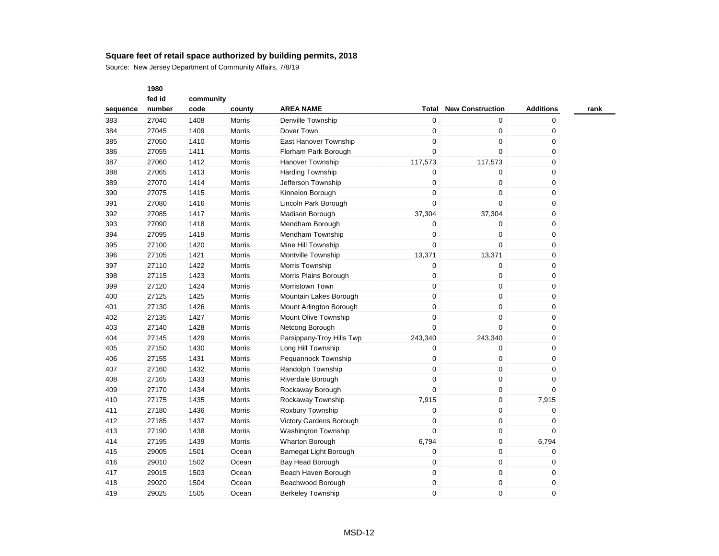Source: New Jersey Department of Community Affairs, 7/8/19

| sequence | fed id<br>number | community<br>code | county        | <b>AREA NAME</b>           | Total            | <b>New Construction</b> | <b>Additions</b> | rank |
|----------|------------------|-------------------|---------------|----------------------------|------------------|-------------------------|------------------|------|
| 383      | 27040            | 1408              | Morris        | Denville Township          | 0                | 0                       | 0                |      |
| 384      | 27045            | 1409              | Morris        | Dover Town                 | $\mathbf 0$      | $\mathbf 0$             | 0                |      |
| 385      | 27050            | 1410              | Morris        | East Hanover Township      | 0                | $\overline{0}$          | 0                |      |
| 386      | 27055            | 1411              | Morris        | Florham Park Borough       | 0                | $\overline{0}$          | 0                |      |
| 387      | 27060            | 1412              | <b>Morris</b> | <b>Hanover Township</b>    | 117,573          | 117,573                 | 0                |      |
| 388      | 27065            | 1413              | Morris        | <b>Harding Township</b>    | 0                | $\mathbf 0$             | 0                |      |
| 389      | 27070            | 1414              | Morris        | Jefferson Township         | 0                | $\mathbf 0$             | 0                |      |
| 390      | 27075            | 1415              | Morris        | Kinnelon Borough           | 0                | 0                       | 0                |      |
| 391      | 27080            | 1416              | Morris        | Lincoln Park Borough       | 0                | $\overline{0}$          | 0                |      |
| 392      | 27085            | 1417              | Morris        | Madison Borough            | 37,304           | 37,304                  | 0                |      |
| 393      | 27090            | 1418              | Morris        | Mendham Borough            | 0                | 0                       | 0                |      |
| 394      | 27095            | 1419              | Morris        | Mendham Township           | 0                | $\mathbf 0$             | 0                |      |
| 395      | 27100            | 1420              | Morris        | Mine Hill Township         | 0                | $\mathbf 0$             | 0                |      |
| 396      | 27105            | 1421              | Morris        | Montville Township         | 13,371           | 13,371                  | 0                |      |
| 397      | 27110            | 1422              | Morris        | Morris Township            | 0                | $\mathbf 0$             | 0                |      |
| 398      | 27115            | 1423              | Morris        | Morris Plains Borough      | $\boldsymbol{0}$ | $\mathbf 0$             | 0                |      |
| 399      | 27120            | 1424              | Morris        | Morristown Town            | 0                | $\mathbf 0$             | 0                |      |
| 400      | 27125            | 1425              | <b>Morris</b> | Mountain Lakes Borough     | 0                | $\mathbf 0$             | 0                |      |
| 401      | 27130            | 1426              | Morris        | Mount Arlington Borough    | 0                | $\mathbf 0$             | 0                |      |
| 402      | 27135            | 1427              | Morris        | Mount Olive Township       | 0                | $\mathbf 0$             | 0                |      |
| 403      | 27140            | 1428              | Morris        | Netcong Borough            | 0                | $\mathbf 0$             | 0                |      |
| 404      | 27145            | 1429              | Morris        | Parsippany-Troy Hills Twp  | 243,340          | 243,340                 | 0                |      |
| 405      | 27150            | 1430              | Morris        | Long Hill Township         | 0                | 0                       | 0                |      |
| 406      | 27155            | 1431              | Morris        | Pequannock Township        | 0                | 0                       | 0                |      |
| 407      | 27160            | 1432              | Morris        | Randolph Township          | 0                | $\mathbf 0$             | 0                |      |
| 408      | 27165            | 1433              | Morris        | Riverdale Borough          | 0                | 0                       | 0                |      |
| 409      | 27170            | 1434              | Morris        | Rockaway Borough           | 0                | $\mathbf 0$             | 0                |      |
| 410      | 27175            | 1435              | Morris        | Rockaway Township          | 7,915            | $\mathbf 0$             | 7,915            |      |
| 411      | 27180            | 1436              | Morris        | Roxbury Township           | $\boldsymbol{0}$ | $\pmb{0}$               | 0                |      |
| 412      | 27185            | 1437              | Morris        | Victory Gardens Borough    | 0                | 0                       | 0                |      |
| 413      | 27190            | 1438              | <b>Morris</b> | <b>Washington Township</b> | 0                | 0                       | $\Omega$         |      |
| 414      | 27195            | 1439              | Morris        | Wharton Borough            | 6,794            | $\mathbf 0$             | 6,794            |      |
| 415      | 29005            | 1501              | Ocean         | Barnegat Light Borough     | 0                | $\pmb{0}$               | 0                |      |
| 416      | 29010            | 1502              | Ocean         | Bay Head Borough           | 0                | $\mathbf 0$             | 0                |      |
| 417      | 29015            | 1503              | Ocean         | Beach Haven Borough        | $\boldsymbol{0}$ | $\mathbf 0$             | 0                |      |
| 418      | 29020            | 1504              | Ocean         | Beachwood Borough          | 0                | $\mathbf 0$             | 0                |      |
| 419      | 29025            | 1505              | Ocean         | <b>Berkeley Township</b>   | 0                | 0                       | 0                |      |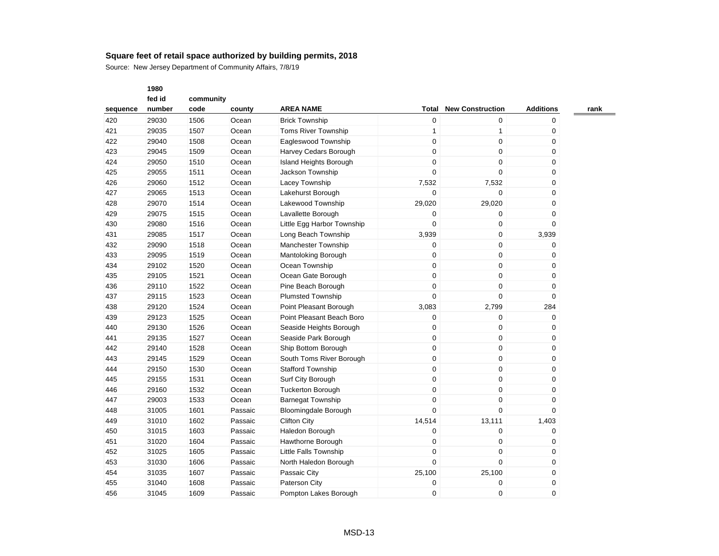| sequence | 1980   |           |         | <b>AREA NAME</b>             |                |                         |                  |      |
|----------|--------|-----------|---------|------------------------------|----------------|-------------------------|------------------|------|
|          | fed id | community |         |                              |                |                         |                  |      |
|          | number | code      | county  |                              | <b>Total</b>   | <b>New Construction</b> | <b>Additions</b> | rank |
| 420      | 29030  | 1506      | Ocean   | <b>Brick Township</b>        | $\pmb{0}$      | $\mathbf 0$             | 0                |      |
| 421      | 29035  | 1507      | Ocean   | Toms River Township          | 1              | $\mathbf{1}$            | 0                |      |
| 422      | 29040  | 1508      | Ocean   | Eagleswood Township          | 0              | 0                       | 0                |      |
| 423      | 29045  | 1509      | Ocean   | Harvey Cedars Borough        | 0              | $\pmb{0}$               | 0                |      |
| 424      | 29050  | 1510      | Ocean   | Island Heights Borough       | 0              | 0                       | 0                |      |
| 425      | 29055  | 1511      | Ocean   | Jackson Township             | 0              | 0                       | 0                |      |
| 426      | 29060  | 1512      | Ocean   | Lacey Township               | 7,532          | 7,532                   | 0                |      |
| 427      | 29065  | 1513      | Ocean   | Lakehurst Borough            | 0              | $\mathbf 0$             | 0                |      |
| 428      | 29070  | 1514      | Ocean   | Lakewood Township            | 29,020         | 29,020                  | 0                |      |
| 429      | 29075  | 1515      | Ocean   | Lavallette Borough           | 0              | $\pmb{0}$               | 0                |      |
| 430      | 29080  | 1516      | Ocean   | Little Egg Harbor Township   | $\mathbf 0$    | 0                       | 0                |      |
| 431      | 29085  | 1517      | Ocean   | Long Beach Township          | 3,939          | $\pmb{0}$               | 3,939            |      |
| 432      | 29090  | 1518      | Ocean   | <b>Manchester Township</b>   | 0              | 0                       | 0                |      |
| 433      | 29095  | 1519      | Ocean   | <b>Mantoloking Borough</b>   | 0              | 0                       | 0                |      |
| 434      | 29102  | 1520      | Ocean   | Ocean Township               | $\pmb{0}$      | $\boldsymbol{0}$        | 0                |      |
| 435      | 29105  | 1521      | Ocean   | Ocean Gate Borough           | 0              | $\pmb{0}$               | 0                |      |
| 436      | 29110  | 1522      | Ocean   | Pine Beach Borough           | 0              | $\mathbf 0$             | 0                |      |
| 437      | 29115  | 1523      | Ocean   | <b>Plumsted Township</b>     | 0              | $\mathbf 0$             | 0                |      |
| 438      | 29120  | 1524      | Ocean   | Point Pleasant Borough       | 3,083          | 2,799                   | 284              |      |
| 439      | 29123  | 1525      | Ocean   | Point Pleasant Beach Boro    | 0              | 0                       | 0                |      |
| 440      | 29130  | 1526      | Ocean   | Seaside Heights Borough      | $\mathbf 0$    | 0                       | 0                |      |
| 441      | 29135  | 1527      | Ocean   | Seaside Park Borough         | 0              | 0                       | 0                |      |
| 442      | 29140  | 1528      | Ocean   | Ship Bottom Borough          | $\mathbf 0$    | $\mathbf 0$             | 0                |      |
| 443      | 29145  | 1529      | Ocean   | South Toms River Borough     | $\pmb{0}$      | $\mathbf 0$             | 0                |      |
| 444      | 29150  | 1530      | Ocean   | <b>Stafford Township</b>     | 0              | 0                       | 0                |      |
| 445      | 29155  | 1531      | Ocean   | Surf City Borough            | 0              | $\pmb{0}$               | 0                |      |
| 446      | 29160  | 1532      | Ocean   | <b>Tuckerton Borough</b>     | 0              | $\mathbf 0$             | $\Omega$         |      |
| 447      | 29003  | 1533      | Ocean   | <b>Barnegat Township</b>     | 0              | 0                       | 0                |      |
| 448      | 31005  | 1601      | Passaic | <b>Bloomingdale Borough</b>  | 0              | 0                       | 0                |      |
| 449      | 31010  | 1602      | Passaic | <b>Clifton City</b>          | 14,514         | 13,111                  | 1,403            |      |
| 450      | 31015  | 1603      | Passaic | Haledon Borough              | 0              | $\mathbf 0$             | 0                |      |
| 451      | 31020  | 1604      | Passaic | Hawthorne Borough            | 0              | $\mathbf 0$             | 0                |      |
| 452      | 31025  | 1605      | Passaic | <b>Little Falls Township</b> | 0              | $\pmb{0}$               | 0                |      |
| 453      | 31030  | 1606      | Passaic | North Haledon Borough        | 0              | $\overline{0}$          | 0                |      |
| 454      | 31035  | 1607      | Passaic | Passaic City                 | 25,100         | 25,100                  | 0                |      |
| 455      | 31040  | 1608      | Passaic | Paterson City                | 0              | $\mathbf 0$             | 0                |      |
| 456      | 31045  | 1609      | Passaic | Pompton Lakes Borough        | $\overline{0}$ | $\Omega$                | $\Omega$         |      |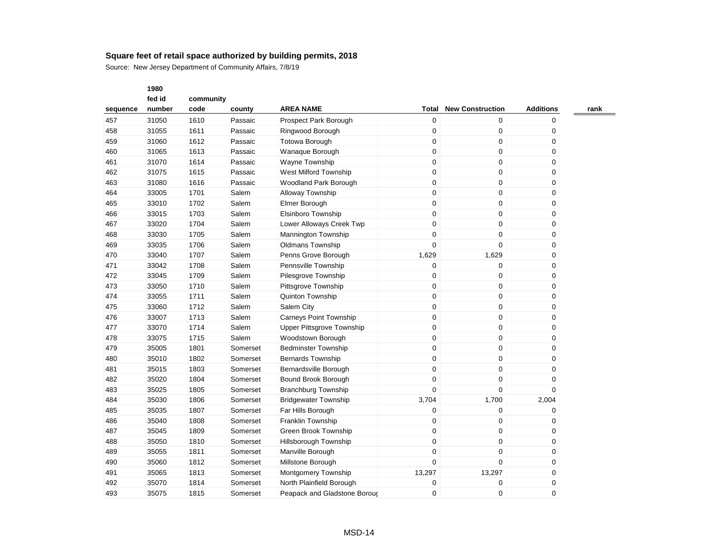Source: New Jersey Department of Community Affairs, 7/8/19

|          | fed id | community |          |                               |                  |                         |                  |      |
|----------|--------|-----------|----------|-------------------------------|------------------|-------------------------|------------------|------|
| sequence | number | code      | county   | <b>AREA NAME</b>              | Total            | <b>New Construction</b> | <b>Additions</b> | rank |
| 457      | 31050  | 1610      | Passaic  | Prospect Park Borough         | $\boldsymbol{0}$ | 0                       | 0                |      |
| 458      | 31055  | 1611      | Passaic  | Ringwood Borough              | $\mathbf 0$      | 0                       | 0                |      |
| 459      | 31060  | 1612      | Passaic  | <b>Totowa Borough</b>         | $\mathbf 0$      | $\pmb{0}$               | 0                |      |
| 460      | 31065  | 1613      | Passaic  | Wanaque Borough               | $\boldsymbol{0}$ | $\pmb{0}$               | 0                |      |
| 461      | 31070  | 1614      | Passaic  | Wayne Township                | $\boldsymbol{0}$ | $\pmb{0}$               | 0                |      |
| 462      | 31075  | 1615      | Passaic  | West Milford Township         | $\mathbf 0$      | $\pmb{0}$               | 0                |      |
| 463      | 31080  | 1616      | Passaic  | Woodland Park Borough         | $\boldsymbol{0}$ | $\mathbf 0$             | 0                |      |
| 464      | 33005  | 1701      | Salem    | Alloway Township              | $\boldsymbol{0}$ | $\pmb{0}$               | 0                |      |
| 465      | 33010  | 1702      | Salem    | Elmer Borough                 | $\boldsymbol{0}$ | $\pmb{0}$               | 0                |      |
| 466      | 33015  | 1703      | Salem    | Elsinboro Township            | 0                | $\mathbf 0$             | 0                |      |
| 467      | 33020  | 1704      | Salem    | Lower Alloways Creek Twp      | $\boldsymbol{0}$ | $\mathbf 0$             | 0                |      |
| 468      | 33030  | 1705      | Salem    | Mannington Township           | $\boldsymbol{0}$ | $\pmb{0}$               | 0                |      |
| 469      | 33035  | 1706      | Salem    | Oldmans Township              | 0                | 0                       | 0                |      |
| 470      | 33040  | 1707      | Salem    | Penns Grove Borough           | 1,629            | 1,629                   | 0                |      |
| 471      | 33042  | 1708      | Salem    | Pennsville Township           | $\mathbf 0$      | $\mathbf 0$             | 0                |      |
| 472      | 33045  | 1709      | Salem    | Pilesgrove Township           | $\boldsymbol{0}$ | $\mathbf 0$             | 0                |      |
| 473      | 33050  | 1710      | Salem    | Pittsgrove Township           | 0                | $\pmb{0}$               | 0                |      |
| 474      | 33055  | 1711      | Salem    | Quinton Township              | $\mathbf 0$      | $\pmb{0}$               | 0                |      |
| 475      | 33060  | 1712      | Salem    | Salem City                    | $\boldsymbol{0}$ | $\pmb{0}$               | 0                |      |
| 476      | 33007  | 1713      | Salem    | <b>Carneys Point Township</b> | $\boldsymbol{0}$ | $\pmb{0}$               | 0                |      |
| 477      | 33070  | 1714      | Salem    | Upper Pittsgrove Township     | $\boldsymbol{0}$ | $\pmb{0}$               | 0                |      |
| 478      | 33075  | 1715      | Salem    | Woodstown Borough             | 0                | $\mathbf 0$             | 0                |      |
| 479      | 35005  | 1801      | Somerset | <b>Bedminster Township</b>    | 0                | $\mathbf 0$             | 0                |      |
| 480      | 35010  | 1802      | Somerset | <b>Bernards Township</b>      | $\boldsymbol{0}$ | 0                       | 0                |      |
| 481      | 35015  | 1803      | Somerset | Bernardsville Borough         | 0                | 0                       | 0                |      |
| 482      | 35020  | 1804      | Somerset | Bound Brook Borough           | $\mathbf 0$      | $\pmb{0}$               | 0                |      |
| 483      | 35025  | 1805      | Somerset | <b>Branchburg Township</b>    | $\mathbf 0$      | $\mathbf 0$             | 0                |      |
| 484      | 35030  | 1806      | Somerset | <b>Bridgewater Township</b>   | 3,704            | 1,700                   | 2,004            |      |
| 485      | 35035  | 1807      | Somerset | Far Hills Borough             | 0                | 0                       | 0                |      |
| 486      | 35040  | 1808      | Somerset | Franklin Township             | $\boldsymbol{0}$ | $\mathbf 0$             | 0                |      |
| 487      | 35045  | 1809      | Somerset | Green Brook Township          | $\boldsymbol{0}$ | $\pmb{0}$               | 0                |      |
| 488      | 35050  | 1810      | Somerset | Hillsborough Township         | $\boldsymbol{0}$ | $\pmb{0}$               | 0                |      |
| 489      | 35055  | 1811      | Somerset | Manville Borough              | 0                | $\pmb{0}$               | 0                |      |
| 490      | 35060  | 1812      | Somerset | Millstone Borough             | $\mathbf 0$      | 0                       | 0                |      |
| 491      | 35065  | 1813      | Somerset | Montgomery Township           | 13,297           | 13,297                  | 0                |      |
| 492      | 35070  | 1814      | Somerset | North Plainfield Borough      | 0                | $\mathbf 0$             | 0                |      |
| 493      | 35075  | 1815      | Somerset | Peapack and Gladstone Boroug  | $\mathbf 0$      | 0                       | 0                |      |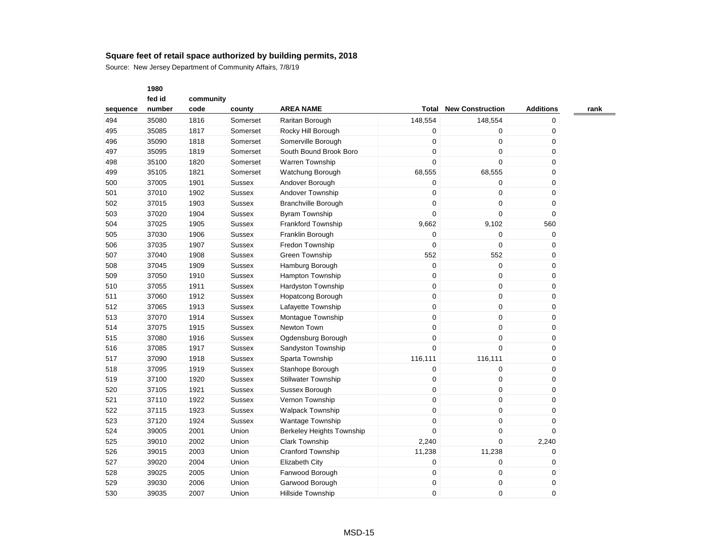Source: New Jersey Department of Community Affairs, 7/8/19

|          | fed id | community |               |                            |                  |                         |                  |      |
|----------|--------|-----------|---------------|----------------------------|------------------|-------------------------|------------------|------|
| sequence | number | code      | county        | <b>AREA NAME</b>           | <b>Total</b>     | <b>New Construction</b> | <b>Additions</b> | rank |
| 494      | 35080  | 1816      | Somerset      | Raritan Borough            | 148,554          | 148,554                 | 0                |      |
| 495      | 35085  | 1817      | Somerset      | Rocky Hill Borough         | $\mathbf 0$      | $\mathbf 0$             | 0                |      |
| 496      | 35090  | 1818      | Somerset      | Somerville Borough         | $\mathbf 0$      | $\mathbf 0$             | 0                |      |
| 497      | 35095  | 1819      | Somerset      | South Bound Brook Boro     | $\boldsymbol{0}$ | $\pmb{0}$               | 0                |      |
| 498      | 35100  | 1820      | Somerset      | Warren Township            | 0                | $\mathbf 0$             | 0                |      |
| 499      | 35105  | 1821      | Somerset      | Watchung Borough           | 68,555           | 68,555                  | 0                |      |
| 500      | 37005  | 1901      | <b>Sussex</b> | Andover Borough            | $\boldsymbol{0}$ | $\pmb{0}$               | 0                |      |
| 501      | 37010  | 1902      | <b>Sussex</b> | Andover Township           | $\boldsymbol{0}$ | $\pmb{0}$               | 0                |      |
| 502      | 37015  | 1903      | <b>Sussex</b> | <b>Branchville Borough</b> | $\mathbf 0$      | $\mathbf 0$             | $\Omega$         |      |
| 503      | 37020  | 1904      | <b>Sussex</b> | <b>Byram Township</b>      | $\mathbf 0$      | $\mathbf 0$             | 0                |      |
| 504      | 37025  | 1905      | <b>Sussex</b> | <b>Frankford Township</b>  | 9,662            | 9,102                   | 560              |      |
| 505      | 37030  | 1906      | <b>Sussex</b> | Franklin Borough           | $\boldsymbol{0}$ | 0                       | 0                |      |
| 506      | 37035  | 1907      | <b>Sussex</b> | Fredon Township            | $\mathbf 0$      | $\mathbf 0$             | 0                |      |
| 507      | 37040  | 1908      | Sussex        | <b>Green Township</b>      | 552              | 552                     | 0                |      |
| 508      | 37045  | 1909      | <b>Sussex</b> | Hamburg Borough            | 0                | 0                       | 0                |      |
| 509      | 37050  | 1910      | <b>Sussex</b> | <b>Hampton Township</b>    | $\mathbf 0$      | $\mathbf 0$             | 0                |      |
| 510      | 37055  | 1911      | <b>Sussex</b> | <b>Hardyston Township</b>  | $\boldsymbol{0}$ | $\pmb{0}$               | 0                |      |
| 511      | 37060  | 1912      | <b>Sussex</b> | Hopatcong Borough          | $\boldsymbol{0}$ | $\pmb{0}$               | 0                |      |
| 512      | 37065  | 1913      | <b>Sussex</b> | Lafayette Township         | 0                | 0                       | 0                |      |
| 513      | 37070  | 1914      | <b>Sussex</b> | Montague Township          | $\mathbf 0$      | $\mathbf 0$             | 0                |      |
| 514      | 37075  | 1915      | <b>Sussex</b> | Newton Town                | $\boldsymbol{0}$ | $\mathbf 0$             | 0                |      |
| 515      | 37080  | 1916      | Sussex        | Ogdensburg Borough         | 0                | 0                       | 0                |      |
| 516      | 37085  | 1917      | <b>Sussex</b> | Sandyston Township         | $\mathbf 0$      | $\mathbf 0$             | 0                |      |
| 517      | 37090  | 1918      | Sussex        | Sparta Township            | 116,111          | 116,111                 | 0                |      |
| 518      | 37095  | 1919      | Sussex        | Stanhope Borough           | 0                | 0                       | 0                |      |
| 519      | 37100  | 1920      | <b>Sussex</b> | <b>Stillwater Township</b> | $\boldsymbol{0}$ | $\pmb{0}$               | 0                |      |
| 520      | 37105  | 1921      | <b>Sussex</b> | Sussex Borough             | $\mathbf 0$      | $\mathbf 0$             | 0                |      |
| 521      | 37110  | 1922      | <b>Sussex</b> | Vernon Township            | $\boldsymbol{0}$ | $\pmb{0}$               | 0                |      |
| 522      | 37115  | 1923      | <b>Sussex</b> | <b>Walpack Township</b>    | $\boldsymbol{0}$ | $\pmb{0}$               | 0                |      |
| 523      | 37120  | 1924      | Sussex        | <b>Wantage Township</b>    | $\boldsymbol{0}$ | $\pmb{0}$               | 0                |      |
| 524      | 39005  | 2001      | Union         | Berkeley Heights Township  | $\mathbf 0$      | $\mathbf 0$             | $\Omega$         |      |
| 525      | 39010  | 2002      | Union         | <b>Clark Township</b>      | 2,240            | 0                       | 2,240            |      |
| 526      | 39015  | 2003      | Union         | <b>Cranford Township</b>   | 11,238           | 11,238                  | 0                |      |
| 527      | 39020  | 2004      | Union         | <b>Elizabeth City</b>      | 0                | $\mathbf 0$             | 0                |      |
| 528      | 39025  | 2005      | Union         | Fanwood Borough            | $\boldsymbol{0}$ | 0                       | 0                |      |
| 529      | 39030  | 2006      | Union         | Garwood Borough            | $\boldsymbol{0}$ | 0                       | 0                |      |
| 530      | 39035  | 2007      | Union         | <b>Hillside Township</b>   | $\mathbf 0$      | 0                       | 0                |      |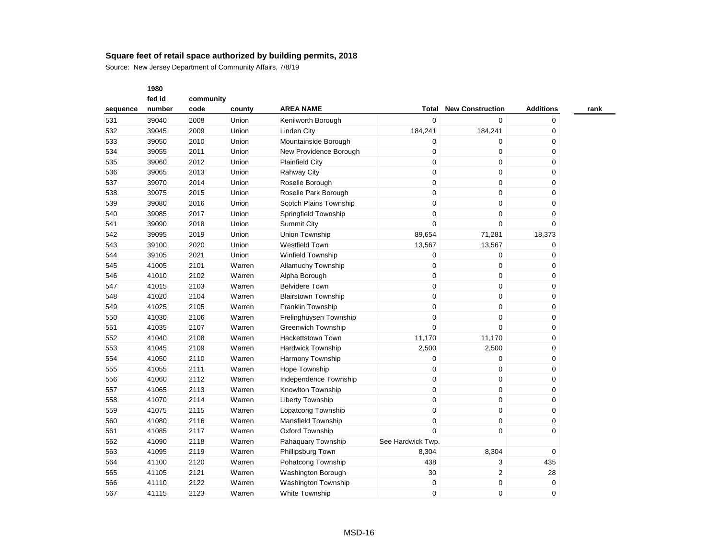Source: New Jersey Department of Community Affairs, 7/8/19

|          | fed id | community |        |                            |                   |                         |                  |      |
|----------|--------|-----------|--------|----------------------------|-------------------|-------------------------|------------------|------|
| sequence | number | code      | county | <b>AREA NAME</b>           | <b>Total</b>      | <b>New Construction</b> | <b>Additions</b> | rank |
| 531      | 39040  | 2008      | Union  | Kenilworth Borough         | 0                 | 0                       | 0                |      |
| 532      | 39045  | 2009      | Union  | <b>Linden City</b>         | 184,241           | 184,241                 | 0                |      |
| 533      | 39050  | 2010      | Union  | Mountainside Borough       | 0                 | 0                       | 0                |      |
| 534      | 39055  | 2011      | Union  | New Providence Borough     | 0                 | $\mathbf 0$             | 0                |      |
| 535      | 39060  | 2012      | Union  | <b>Plainfield City</b>     | $\boldsymbol{0}$  | $\mathbf 0$             | 0                |      |
| 536      | 39065  | 2013      | Union  | Rahway City                | $\mathbf 0$       | $\mathbf 0$             | 0                |      |
| 537      | 39070  | 2014      | Union  | Roselle Borough            | 0                 | 0                       | 0                |      |
| 538      | 39075  | 2015      | Union  | Roselle Park Borough       | 0                 | $\mathbf 0$             | 0                |      |
| 539      | 39080  | 2016      | Union  | Scotch Plains Township     | 0                 | 0                       | 0                |      |
| 540      | 39085  | 2017      | Union  | Springfield Township       | 0                 | $\mathbf 0$             | 0                |      |
| 541      | 39090  | 2018      | Union  | <b>Summit City</b>         | 0                 | $\mathbf 0$             | 0                |      |
| 542      | 39095  | 2019      | Union  | Union Township             | 89,654            | 71,281                  | 18,373           |      |
| 543      | 39100  | 2020      | Union  | <b>Westfield Town</b>      | 13,567            | 13,567                  | 0                |      |
| 544      | 39105  | 2021      | Union  | <b>Winfield Township</b>   | 0                 | $\mathbf 0$             | 0                |      |
| 545      | 41005  | 2101      | Warren | Allamuchy Township         | $\boldsymbol{0}$  | $\mathbf 0$             | 0                |      |
| 546      | 41010  | 2102      | Warren | Alpha Borough              | $\mathbf 0$       | $\mathbf 0$             | 0                |      |
| 547      | 41015  | 2103      | Warren | <b>Belvidere Town</b>      | $\mathbf 0$       | $\mathbf 0$             | 0                |      |
| 548      | 41020  | 2104      | Warren | <b>Blairstown Township</b> | $\boldsymbol{0}$  | $\mathbf 0$             | 0                |      |
| 549      | 41025  | 2105      | Warren | Franklin Township          | 0                 | 0                       | 0                |      |
| 550      | 41030  | 2106      | Warren | Frelinghuysen Township     | 0                 | $\mathbf 0$             | 0                |      |
| 551      | 41035  | 2107      | Warren | <b>Greenwich Township</b>  | 0                 | $\overline{0}$          | 0                |      |
| 552      | 41040  | 2108      | Warren | Hackettstown Town          | 11,170            | 11,170                  | 0                |      |
| 553      | 41045  | 2109      | Warren | <b>Hardwick Township</b>   | 2,500             | 2,500                   | 0                |      |
| 554      | 41050  | 2110      | Warren | <b>Harmony Township</b>    | 0                 | $\mathbf 0$             | 0                |      |
| 555      | 41055  | 2111      | Warren | Hope Township              | 0                 | 0                       | 0                |      |
| 556      | 41060  | 2112      | Warren | Independence Township      | 0                 | 0                       | 0                |      |
| 557      | 41065  | 2113      | Warren | Knowlton Township          | $\mathbf 0$       | 0                       | 0                |      |
| 558      | 41070  | 2114      | Warren | <b>Liberty Township</b>    | $\boldsymbol{0}$  | $\mathbf 0$             | 0                |      |
| 559      | 41075  | 2115      | Warren | Lopatcong Township         | $\boldsymbol{0}$  | $\mathbf 0$             | 0                |      |
| 560      | 41080  | 2116      | Warren | <b>Mansfield Township</b>  | $\boldsymbol{0}$  | $\pmb{0}$               | 0                |      |
| 561      | 41085  | 2117      | Warren | <b>Oxford Township</b>     | $\overline{0}$    | $\mathbf 0$             | $\Omega$         |      |
| 562      | 41090  | 2118      | Warren | Pahaquary Township         | See Hardwick Twp. |                         |                  |      |
| 563      | 41095  | 2119      | Warren | Phillipsburg Town          | 8,304             | 8,304                   | 0                |      |
| 564      | 41100  | 2120      | Warren | Pohatcong Township         | 438               | 3                       | 435              |      |
| 565      | 41105  | 2121      | Warren | Washington Borough         | 30                | $\overline{2}$          | 28               |      |
| 566      | 41110  | 2122      | Warren | <b>Washington Township</b> | 0                 | $\pmb{0}$               | 0                |      |
| 567      | 41115  | 2123      | Warren | <b>White Township</b>      | 0                 | $\mathbf 0$             | 0                |      |